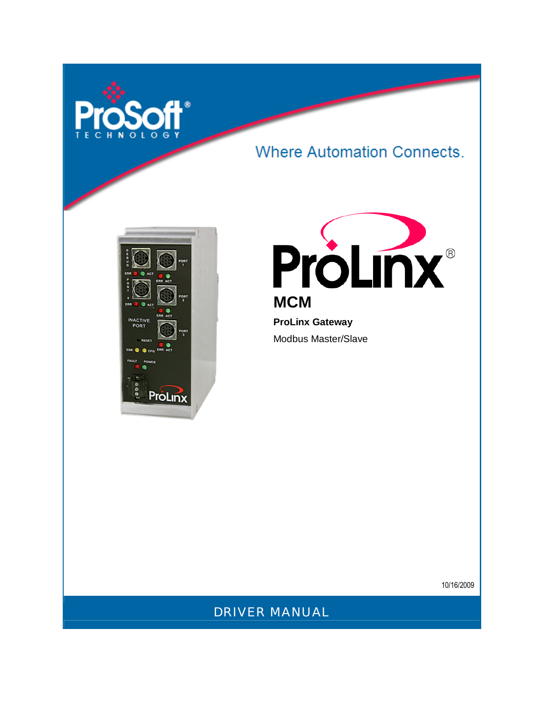

# **Where Automation Connects.**





**ProLinx Gateway**  Modbus Master/Slave

10/16/2009

DRIVER MANUAL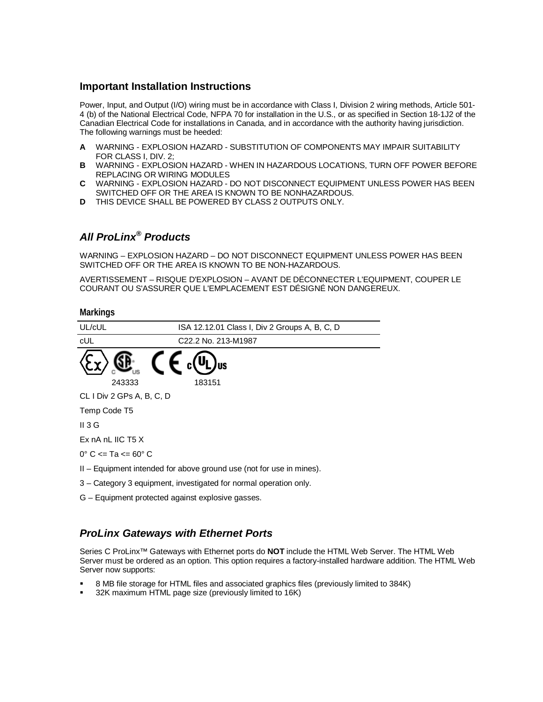#### **Important Installation Instructions**

Power, Input, and Output (I/O) wiring must be in accordance with Class I, Division 2 wiring methods, Article 501- 4 (b) of the National Electrical Code, NFPA 70 for installation in the U.S., or as specified in Section 18-1J2 of the Canadian Electrical Code for installations in Canada, and in accordance with the authority having jurisdiction. The following warnings must be heeded:

- **A** WARNING EXPLOSION HAZARD SUBSTITUTION OF COMPONENTS MAY IMPAIR SUITABILITY FOR CLASS I, DIV. 2;
- **B** WARNING EXPLOSION HAZARD WHEN IN HAZARDOUS LOCATIONS, TURN OFF POWER BEFORE REPLACING OR WIRING MODULES
- **C** WARNING EXPLOSION HAZARD DO NOT DISCONNECT EQUIPMENT UNLESS POWER HAS BEEN SWITCHED OFF OR THE AREA IS KNOWN TO BE NONHAZARDOUS.
- **D** THIS DEVICE SHALL BE POWERED BY CLASS 2 OUTPUTS ONLY.

# *All ProLinx® Products*

WARNING – EXPLOSION HAZARD – DO NOT DISCONNECT EQUIPMENT UNLESS POWER HAS BEEN SWITCHED OFF OR THE AREA IS KNOWN TO BE NON-HAZARDOUS.

AVERTISSEMENT – RISQUE D'EXPLOSION – AVANT DE DÉCONNECTER L'EQUIPMENT, COUPER LE COURANT OU S'ASSURER QUE L'EMPLACEMENT EST DÉSIGNÉ NON DANGEREUX.

#### **Markings**

| UL/cUL                                                               | ISA 12.12.01 Class I, Div 2 Groups A, B, C, D |  |  |
|----------------------------------------------------------------------|-----------------------------------------------|--|--|
| cUL                                                                  | C22.2 No. 213-M1987                           |  |  |
|                                                                      |                                               |  |  |
| 243333                                                               | 183151                                        |  |  |
| CL I Div 2 GPs A, B, C, D                                            |                                               |  |  |
| Temp Code T5                                                         |                                               |  |  |
| $II$ 3 G                                                             |                                               |  |  |
| Ex $nA$ nL IIC T5 X                                                  |                                               |  |  |
| $0^{\circ}$ C $\leq$ Ta $\leq$ 60 $^{\circ}$ C                       |                                               |  |  |
| II – Equipment intended for above ground use (not for use in mines). |                                               |  |  |
| 3 – Category 3 equipment, investigated for normal operation only.    |                                               |  |  |
| G - Equipment protected against explosive gasses.                    |                                               |  |  |

## *ProLinx Gateways with Ethernet Ports*

Series C ProLinx™ Gateways with Ethernet ports do **NOT** include the HTML Web Server. The HTML Web Server must be ordered as an option. This option requires a factory-installed hardware addition. The HTML Web Server now supports:

- 8 MB file storage for HTML files and associated graphics files (previously limited to 384K)
- 32K maximum HTML page size (previously limited to 16K)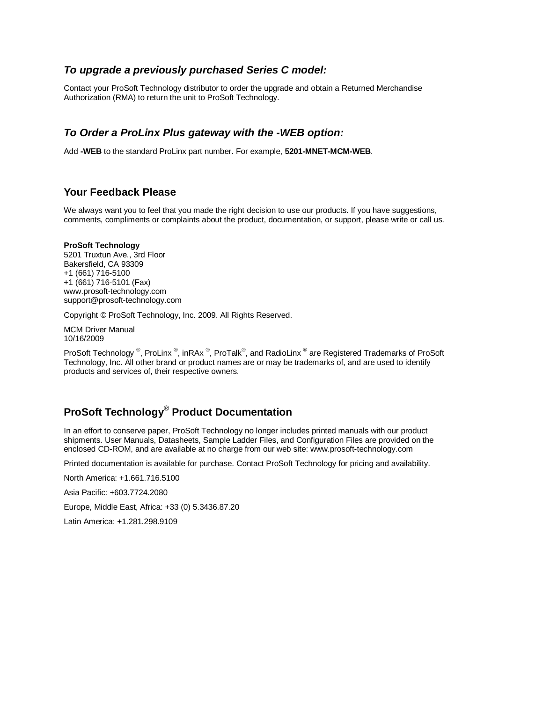#### *To upgrade a previously purchased Series C model:*

Contact your ProSoft Technology distributor to order the upgrade and obtain a Returned Merchandise Authorization (RMA) to return the unit to ProSoft Technology.

#### *To Order a ProLinx Plus gateway with the -WEB option:*

Add **-WEB** to the standard ProLinx part number. For example, **5201-MNET-MCM-WEB**.

#### **Your Feedback Please**

We always want you to feel that you made the right decision to use our products. If you have suggestions, comments, compliments or complaints about the product, documentation, or support, please write or call us.

#### **ProSoft Technology**

5201 Truxtun Ave., 3rd Floor Bakersfield, CA 93309 +1 (661) 716-5100 +1 (661) 716-5101 (Fax) www.prosoft-technology.com support@prosoft-technology.com

Copyright © ProSoft Technology, Inc. 2009. All Rights Reserved.

MCM Driver Manual 10/16/2009

ProSoft Technology ®, ProLinx ®, inRAx ®, ProTalk®, and RadioLinx ® are Registered Trademarks of ProSoft Technology, Inc. All other brand or product names are or may be trademarks of, and are used to identify products and services of, their respective owners.

## **ProSoft Technology® Product Documentation**

In an effort to conserve paper, ProSoft Technology no longer includes printed manuals with our product shipments. User Manuals, Datasheets, Sample Ladder Files, and Configuration Files are provided on the enclosed CD-ROM, and are available at no charge from our web site: www.prosoft-technology.com

Printed documentation is available for purchase. Contact ProSoft Technology for pricing and availability.

North America: +1.661.716.5100

Asia Pacific: +603.7724.2080

Europe, Middle East, Africa: +33 (0) 5.3436.87.20

Latin America: +1.281.298.9109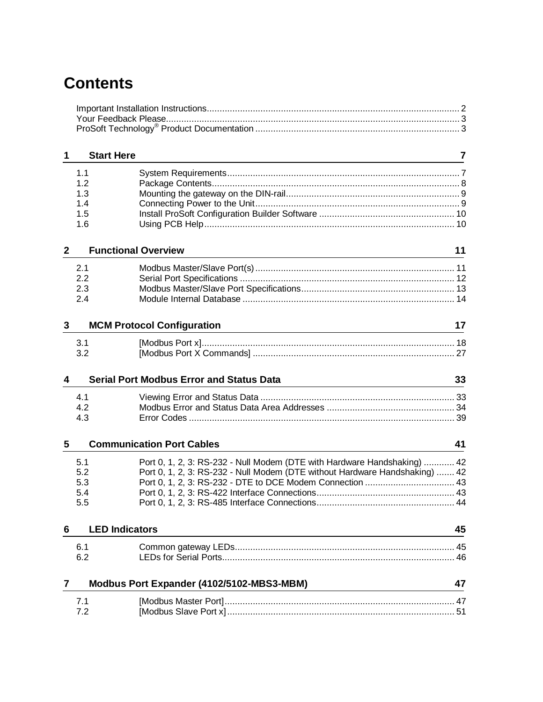# **Contents**

| 1              | <b>Start Here</b>          |                                                                                                                                                         | 7  |
|----------------|----------------------------|---------------------------------------------------------------------------------------------------------------------------------------------------------|----|
|                | 1.1                        |                                                                                                                                                         |    |
|                | 1.2                        |                                                                                                                                                         |    |
|                | 1.3<br>1.4                 |                                                                                                                                                         |    |
|                | 1.5                        |                                                                                                                                                         |    |
|                | 1.6                        |                                                                                                                                                         |    |
| $\mathbf{2}$   | <b>Functional Overview</b> |                                                                                                                                                         | 11 |
|                |                            |                                                                                                                                                         |    |
|                | 2.1<br>2.2                 |                                                                                                                                                         |    |
|                | 2.3                        |                                                                                                                                                         |    |
|                | 2.4                        |                                                                                                                                                         |    |
| 3              |                            | <b>MCM Protocol Configuration</b>                                                                                                                       | 17 |
|                | 3.1                        |                                                                                                                                                         |    |
|                | 3.2                        |                                                                                                                                                         |    |
|                |                            |                                                                                                                                                         |    |
| 4              |                            | <b>Serial Port Modbus Error and Status Data</b>                                                                                                         | 33 |
|                | 4.1                        |                                                                                                                                                         |    |
|                | 4.2                        |                                                                                                                                                         |    |
|                | 4.3                        |                                                                                                                                                         |    |
|                |                            |                                                                                                                                                         |    |
| 5              |                            | <b>Communication Port Cables</b>                                                                                                                        | 41 |
|                |                            |                                                                                                                                                         |    |
|                | 5.1<br>5.2                 | Port 0, 1, 2, 3: RS-232 - Null Modem (DTE with Hardware Handshaking)  42<br>Port 0, 1, 2, 3: RS-232 - Null Modem (DTE without Hardware Handshaking)  42 |    |
|                | 5.3                        |                                                                                                                                                         |    |
|                | 5.4                        |                                                                                                                                                         |    |
|                | 5.5                        |                                                                                                                                                         |    |
| 6              | <b>LED Indicators</b>      |                                                                                                                                                         | 45 |
|                | 6.1                        |                                                                                                                                                         |    |
|                | 6.2                        |                                                                                                                                                         |    |
| $\overline{7}$ |                            | Modbus Port Expander (4102/5102-MBS3-MBM)                                                                                                               | 47 |
|                | 7.1                        |                                                                                                                                                         |    |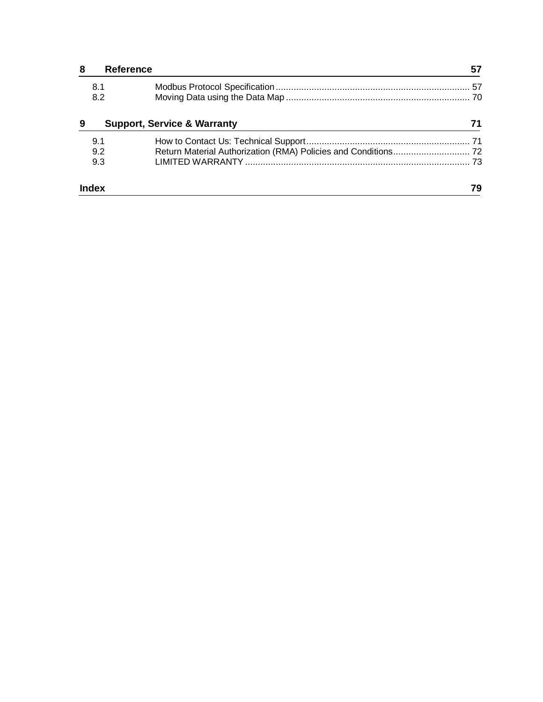| 8 |       | <b>Reference</b>                       |    |
|---|-------|----------------------------------------|----|
|   | 8.1   |                                        |    |
|   | 8.2   |                                        |    |
| 9 |       | <b>Support, Service &amp; Warranty</b> |    |
|   | 9.1   |                                        |    |
|   | 9.2   |                                        |    |
|   | 9.3   |                                        |    |
|   | Index |                                        | 79 |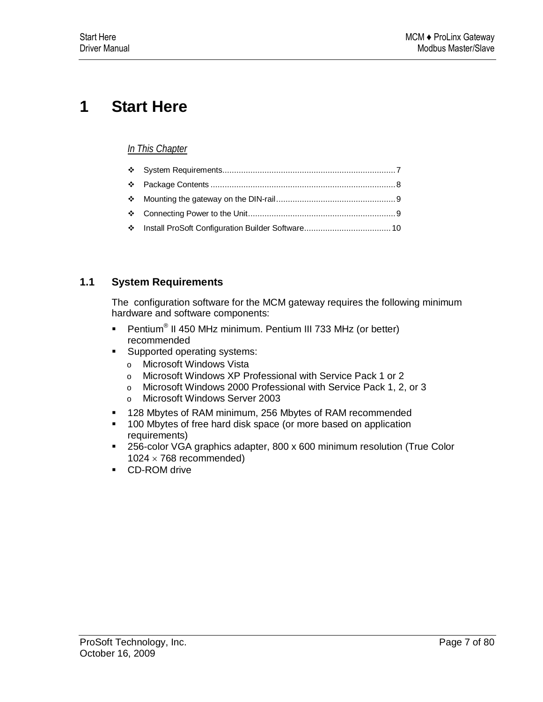# **1 Start Here**

## *In This Chapter*

## **1.1 System Requirements**

The configuration software for the MCM gateway requires the following minimum hardware and software components:

- Pentium<sup>®</sup> II 450 MHz minimum. Pentium III 733 MHz (or better) recommended
- **Supported operating systems:** 
	- o Microsoft Windows Vista
	- o Microsoft Windows XP Professional with Service Pack 1 or 2
	- o Microsoft Windows 2000 Professional with Service Pack 1, 2, or 3
	- o Microsoft Windows Server 2003
- 128 Mbytes of RAM minimum, 256 Mbytes of RAM recommended
- **100 Mbytes of free hard disk space (or more based on application** requirements)
- 256-color VGA graphics adapter, 800 x 600 minimum resolution (True Color  $1024 \times 768$  recommended)
- **CD-ROM drive**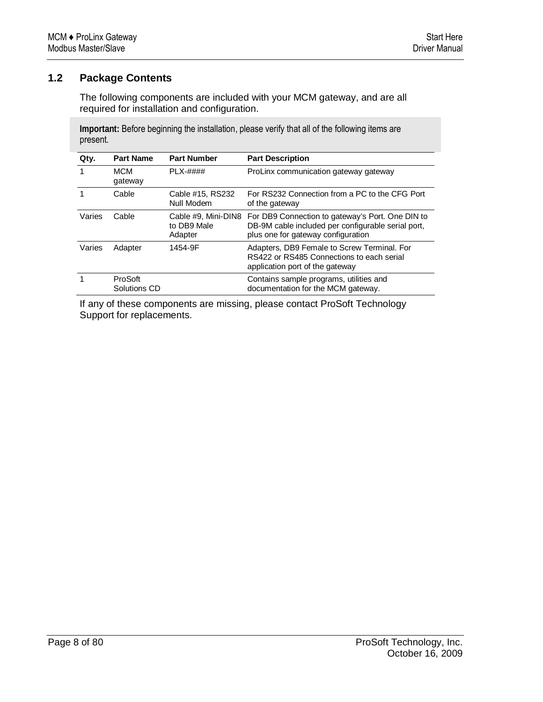## **1.2 Package Contents**

The following components are included with your MCM gateway, and are all required for installation and configuration.

**Important:** Before beginning the installation, please verify that all of the following items are present.

| Qty.   | <b>Part Name</b>        | <b>Part Number</b>             | <b>Part Description</b>                                                                                                                                          |
|--------|-------------------------|--------------------------------|------------------------------------------------------------------------------------------------------------------------------------------------------------------|
|        | <b>MCM</b><br>gateway   | $PLX-####$                     | ProLinx communication gateway gateway                                                                                                                            |
|        | Cable                   | Cable #15, RS232<br>Null Modem | For RS232 Connection from a PC to the CFG Port<br>of the gateway                                                                                                 |
| Varies | Cable                   | to DB9 Male<br>Adapter         | Cable #9, Mini-DIN8 For DB9 Connection to gateway's Port. One DIN to<br>DB-9M cable included per configurable serial port,<br>plus one for gateway configuration |
| Varies | Adapter                 | 1454-9F                        | Adapters, DB9 Female to Screw Terminal. For<br>RS422 or RS485 Connections to each serial<br>application port of the gateway                                      |
|        | ProSoft<br>Solutions CD |                                | Contains sample programs, utilities and<br>documentation for the MCM gateway.                                                                                    |

If any of these components are missing, please contact ProSoft Technology Support for replacements.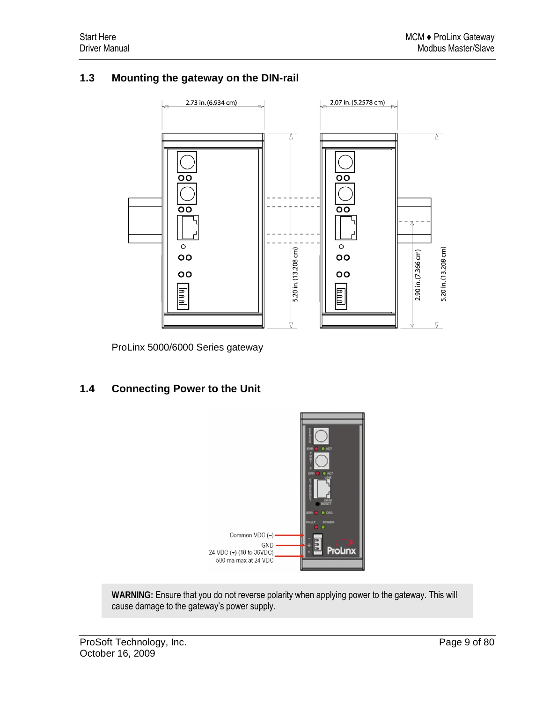## **1.3 Mounting the gateway on the DIN-rail**



ProLinx 5000/6000 Series gateway

## **1.4 Connecting Power to the Unit**



**WARNING:** Ensure that you do not reverse polarity when applying power to the gateway. This will cause damage to the gateway's power supply.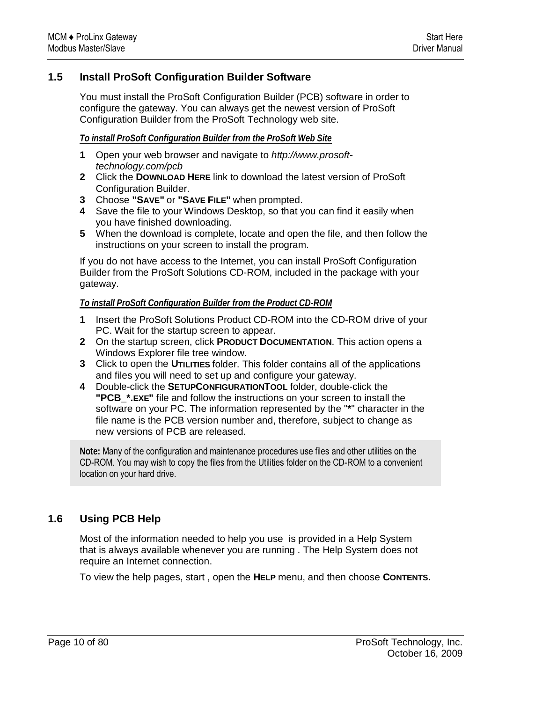## **1.5 Install ProSoft Configuration Builder Software**

You must install the ProSoft Configuration Builder (PCB) software in order to configure the gateway. You can always get the newest version of ProSoft Configuration Builder from the ProSoft Technology web site.

#### *To install ProSoft Configuration Builder from the ProSoft Web Site*

- **1** Open your web browser and navigate to *http://www.prosofttechnology.com/pcb*
- **2** Click the **DOWNLOAD HERE** link to download the latest version of ProSoft Configuration Builder.
- **3** Choose **"SAVE"** or **"SAVE FILE"** when prompted.
- **4** Save the file to your Windows Desktop, so that you can find it easily when you have finished downloading.
- **5** When the download is complete, locate and open the file, and then follow the instructions on your screen to install the program.

If you do not have access to the Internet, you can install ProSoft Configuration Builder from the ProSoft Solutions CD-ROM, included in the package with your gateway.

#### *To install ProSoft Configuration Builder from the Product CD-ROM*

- **1** Insert the ProSoft Solutions Product CD-ROM into the CD-ROM drive of your PC. Wait for the startup screen to appear.
- **2** On the startup screen, click **PRODUCT DOCUMENTATION**. This action opens a Windows Explorer file tree window.
- **3** Click to open the **UTILITIES** folder. This folder contains all of the applications and files you will need to set up and configure your gateway.
- **4** Double-click the **SETUPCONFIGURATIONTOOL** folder, double-click the **"PCB\_\*.EXE"** file and follow the instructions on your screen to install the software on your PC. The information represented by the "**\***" character in the file name is the PCB version number and, therefore, subject to change as new versions of PCB are released.

**Note:** Many of the configuration and maintenance procedures use files and other utilities on the CD-ROM. You may wish to copy the files from the Utilities folder on the CD-ROM to a convenient location on your hard drive.

## **1.6 Using PCB Help**

Most of the information needed to help you use is provided in a Help System that is always available whenever you are running . The Help System does not require an Internet connection.

To view the help pages, start , open the **HELP** menu, and then choose **CONTENTS.**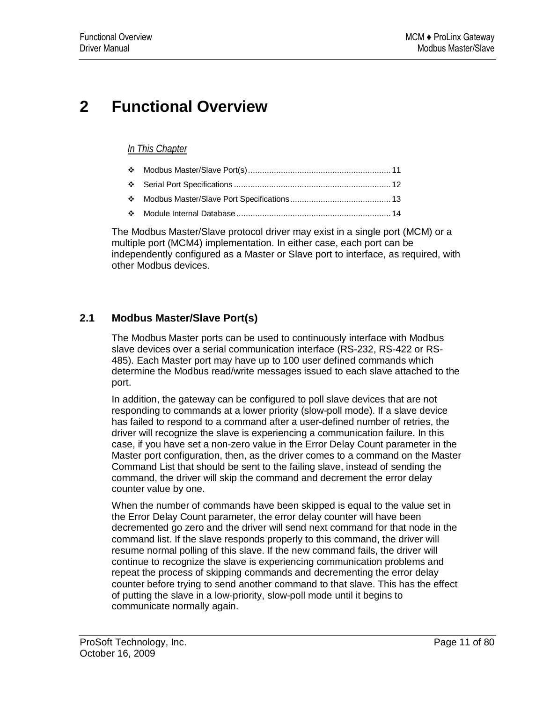# **2 Functional Overview**

## *In This Chapter*

The Modbus Master/Slave protocol driver may exist in a single port (MCM) or a multiple port (MCM4) implementation. In either case, each port can be independently configured as a Master or Slave port to interface, as required, with other Modbus devices.

## **2.1 Modbus Master/Slave Port(s)**

The Modbus Master ports can be used to continuously interface with Modbus slave devices over a serial communication interface (RS-232, RS-422 or RS-485). Each Master port may have up to 100 user defined commands which determine the Modbus read/write messages issued to each slave attached to the port.

In addition, the gateway can be configured to poll slave devices that are not responding to commands at a lower priority (slow-poll mode). If a slave device has failed to respond to a command after a user-defined number of retries, the driver will recognize the slave is experiencing a communication failure. In this case, if you have set a non-zero value in the Error Delay Count parameter in the Master port configuration, then, as the driver comes to a command on the Master Command List that should be sent to the failing slave, instead of sending the command, the driver will skip the command and decrement the error delay counter value by one.

When the number of commands have been skipped is equal to the value set in the Error Delay Count parameter, the error delay counter will have been decremented go zero and the driver will send next command for that node in the command list. If the slave responds properly to this command, the driver will resume normal polling of this slave. If the new command fails, the driver will continue to recognize the slave is experiencing communication problems and repeat the process of skipping commands and decrementing the error delay counter before trying to send another command to that slave. This has the effect of putting the slave in a low-priority, slow-poll mode until it begins to communicate normally again.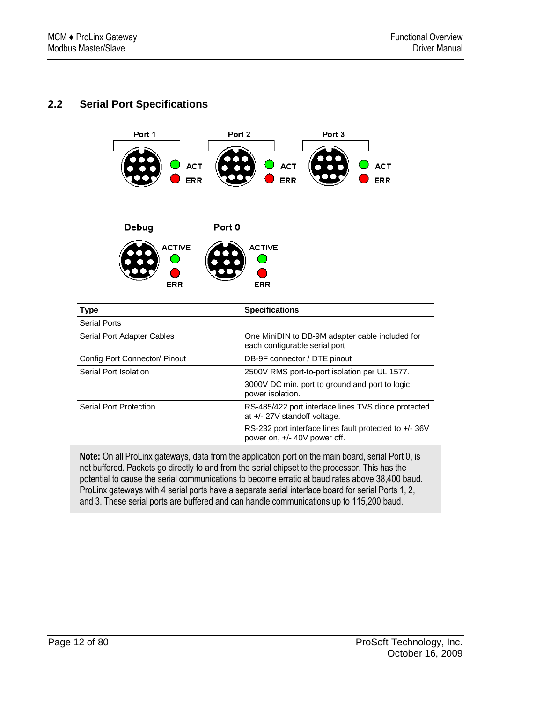## **2.2 Serial Port Specifications**



|                        | power isolation.                                                                       |
|------------------------|----------------------------------------------------------------------------------------|
| Serial Port Protection | RS-485/422 port interface lines TVS diode protected<br>at +/- 27V standoff voltage.    |
|                        | RS-232 port interface lines fault protected to +/- 36V<br>power on, +/- 40V power off. |

**Note:** On all ProLinx gateways, data from the application port on the main board, serial Port 0, is not buffered. Packets go directly to and from the serial chipset to the processor. This has the potential to cause the serial communications to become erratic at baud rates above 38,400 baud. ProLinx gateways with 4 serial ports have a separate serial interface board for serial Ports 1, 2, and 3. These serial ports are buffered and can handle communications up to 115,200 baud.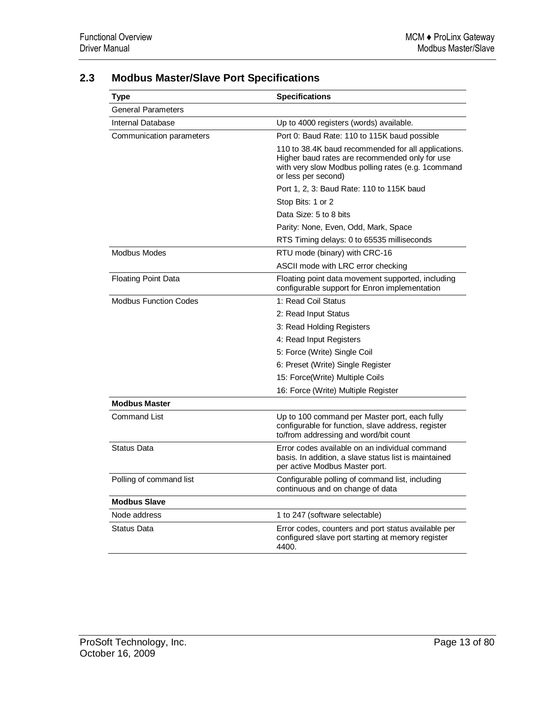| Type                         | <b>Specifications</b>                                                                                                                                                              |
|------------------------------|------------------------------------------------------------------------------------------------------------------------------------------------------------------------------------|
| <b>General Parameters</b>    |                                                                                                                                                                                    |
| Internal Database            | Up to 4000 registers (words) available.                                                                                                                                            |
| Communication parameters     | Port 0: Baud Rate: 110 to 115K baud possible                                                                                                                                       |
|                              | 110 to 38.4K baud recommended for all applications.<br>Higher baud rates are recommended only for use<br>with very slow Modbus polling rates (e.g. 1command<br>or less per second) |
|                              | Port 1, 2, 3: Baud Rate: 110 to 115K baud                                                                                                                                          |
|                              | Stop Bits: 1 or 2                                                                                                                                                                  |
|                              | Data Size: 5 to 8 bits                                                                                                                                                             |
|                              | Parity: None, Even, Odd, Mark, Space                                                                                                                                               |
|                              | RTS Timing delays: 0 to 65535 milliseconds                                                                                                                                         |
| <b>Modbus Modes</b>          | RTU mode (binary) with CRC-16                                                                                                                                                      |
|                              | ASCII mode with LRC error checking                                                                                                                                                 |
| <b>Floating Point Data</b>   | Floating point data movement supported, including<br>configurable support for Enron implementation                                                                                 |
| <b>Modbus Function Codes</b> | 1: Read Coil Status                                                                                                                                                                |
|                              | 2: Read Input Status                                                                                                                                                               |
|                              | 3: Read Holding Registers                                                                                                                                                          |
|                              | 4: Read Input Registers                                                                                                                                                            |
|                              | 5: Force (Write) Single Coil                                                                                                                                                       |
|                              | 6: Preset (Write) Single Register                                                                                                                                                  |
|                              | 15: Force(Write) Multiple Coils                                                                                                                                                    |
|                              | 16: Force (Write) Multiple Register                                                                                                                                                |
| <b>Modbus Master</b>         |                                                                                                                                                                                    |
| Command List                 | Up to 100 command per Master port, each fully<br>configurable for function, slave address, register<br>to/from addressing and word/bit count                                       |
| <b>Status Data</b>           | Error codes available on an individual command<br>basis. In addition, a slave status list is maintained<br>per active Modbus Master port.                                          |
| Polling of command list      | Configurable polling of command list, including<br>continuous and on change of data                                                                                                |
| <b>Modbus Slave</b>          |                                                                                                                                                                                    |
| Node address                 | 1 to 247 (software selectable)                                                                                                                                                     |
| <b>Status Data</b>           | Error codes, counters and port status available per<br>configured slave port starting at memory register<br>4400.                                                                  |

## **2.3 Modbus Master/Slave Port Specifications**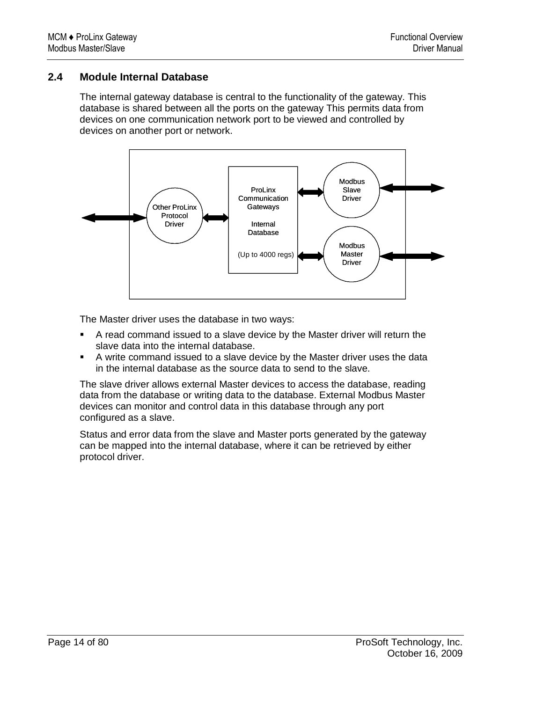## **2.4 Module Internal Database**

The internal gateway database is central to the functionality of the gateway. This database is shared between all the ports on the gateway This permits data from devices on one communication network port to be viewed and controlled by devices on another port or network.



The Master driver uses the database in two ways:

- A read command issued to a slave device by the Master driver will return the slave data into the internal database.
- A write command issued to a slave device by the Master driver uses the data in the internal database as the source data to send to the slave.

The slave driver allows external Master devices to access the database, reading data from the database or writing data to the database. External Modbus Master devices can monitor and control data in this database through any port configured as a slave.

Status and error data from the slave and Master ports generated by the gateway can be mapped into the internal database, where it can be retrieved by either protocol driver.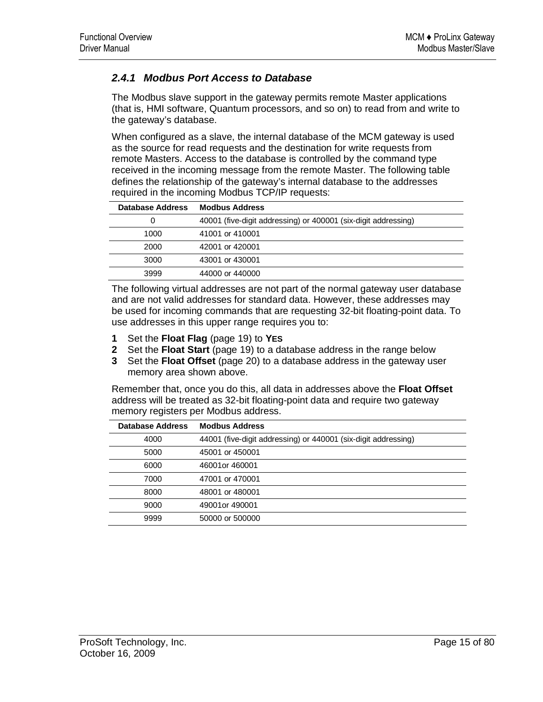## *2.4.1 Modbus Port Access to Database*

The Modbus slave support in the gateway permits remote Master applications (that is, HMI software, Quantum processors, and so on) to read from and write to the gateway's database.

When configured as a slave, the internal database of the MCM gateway is used as the source for read requests and the destination for write requests from remote Masters. Access to the database is controlled by the command type received in the incoming message from the remote Master. The following table defines the relationship of the gateway's internal database to the addresses required in the incoming Modbus TCP/IP requests:

| Database Address | <b>Modbus Address</b>                                          |
|------------------|----------------------------------------------------------------|
|                  | 40001 (five-digit addressing) or 400001 (six-digit addressing) |
| 1000             | 41001 or 410001                                                |
| 2000             | 42001 or 420001                                                |
| 3000             | 43001 or 430001                                                |
| 3999             | 44000 or 440000                                                |

The following virtual addresses are not part of the normal gateway user database and are not valid addresses for standard data. However, these addresses may be used for incoming commands that are requesting 32-bit floating-point data. To use addresses in this upper range requires you to:

- **1** Set the **Float Flag** (page 19) to **YES**
- **2** Set the **Float Start** (page 19) to a database address in the range below
- **3** Set the **Float Offset** (page 20) to a database address in the gateway user memory area shown above.

Remember that, once you do this, all data in addresses above the **Float Offset** address will be treated as 32-bit floating-point data and require two gateway memory registers per Modbus address.

| Database Address | <b>Modbus Address</b>                                          |
|------------------|----------------------------------------------------------------|
| 4000             | 44001 (five-digit addressing) or 440001 (six-digit addressing) |
| 5000             | 45001 or 450001                                                |
| 6000             | 46001or 460001                                                 |
| 7000             | 47001 or 470001                                                |
| 8000             | 48001 or 480001                                                |
| 9000             | 49001or 490001                                                 |
| 9999             | 50000 or 500000                                                |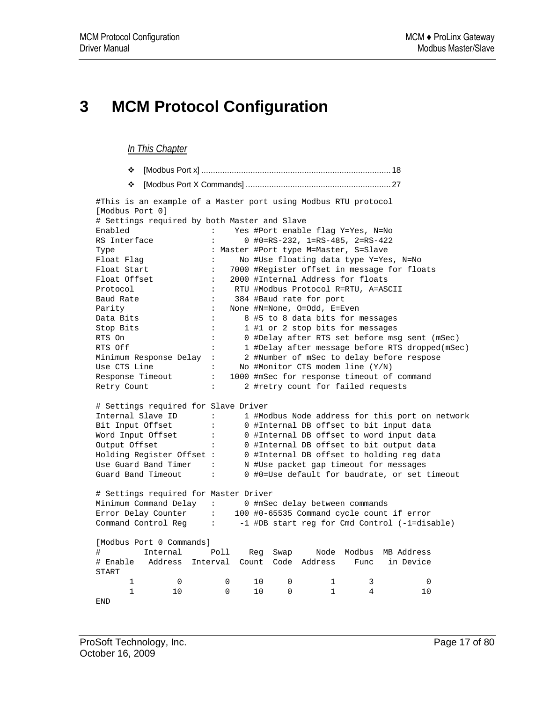# **3 MCM Protocol Configuration**

#### *In This Chapter*

- [Modbus Port x] ................................................................................. 18
- [Modbus Port X Commands] .............................................................. 27

#This is an example of a Master port using Modbus RTU protocol [Modbus Port 0] # Settings required by both Master and Slave Enabled : Yes #Port enable flag Y=Yes, N=No RS Interface : 0 #0=RS-232, 1=RS-485, 2=RS-422 Type : Master #Port type M=Master, S=Slave Float Flag : No #Use floating data type Y=Yes, N=No Float Start : 7000 #Register offset in message for floats Float Offset : 2000 #Internal Address for floats Protocol : RTU #Modbus Protocol R=RTU, A=ASCII Baud Rate  $\qquad \qquad : \qquad 384$  #Baud rate for port Parity : None #N=None, O=Odd, E=Even Data Bits : 8 #5 to 8 data bits for messages Stop Bits : 1 #1 or 2 stop bits for messages RTS On : 0 #Delay after RTS set before msg sent (mSec) RTS Off : 1 #Delay after message before RTS dropped(mSec) Minimum Response Delay : 2 #Number of mSec to delay before respose Use CTS Line : No #Monitor CTS modem line (Y/N) Response Timeout : 1000 #mSec for response timeout of command Retry Count : 2 #retry count for failed requests # Settings required for Slave Driver Internal Slave ID : 1 #Modbus Node address for this port on network Bit Input Offset : 0 #Internal DB offset to bit input data Word Input Offset : 0 #Internal DB offset to word input data Output Offset : 0 #Internal DB offset to bit output data Holding Register Offset : 0 #Internal DB offset to holding reg data Use Guard Band Timer : N #Use packet gap timeout for messages Guard Band Timeout : 0 #0=Use default for baudrate, or set timeout # Settings required for Master Driver Minimum Command Delay : 0 #mSec delay between commands Error Delay Counter : 100 #0-65535 Command cycle count if error Command Control Reg : -1 #DB start reg for Cmd Control (-1=disable) [Modbus Port 0 Commands] # Internal Poll Reg Swap Node Modbus MB Address # Enable Address Interval Count Code Address Func in Device START  $\begin{array}{ccccccccccc}\n0 & 0 & 10 & 0 & 1 & 3 & 0 \\
0 & 0 & 10 & 0 & 1 & 4 & 10\n\end{array}$  $\begin{array}{ccc} 1 & & & 0 \\ 1 & & & 10 \end{array}$ END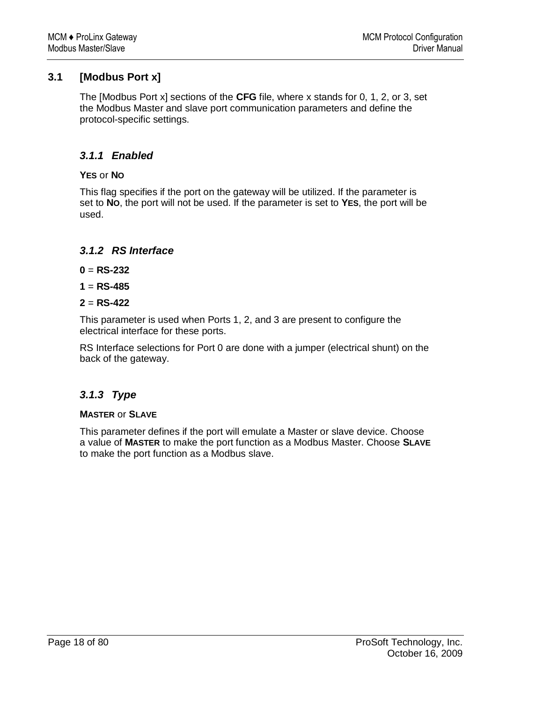## **3.1 [Modbus Port x]**

The [Modbus Port x] sections of the **CFG** file, where x stands for 0, 1, 2, or 3, set the Modbus Master and slave port communication parameters and define the protocol-specific settings.

## *3.1.1 Enabled*

## **YES** or **NO**

This flag specifies if the port on the gateway will be utilized. If the parameter is set to **NO**, the port will not be used. If the parameter is set to **YES**, the port will be used.

## *3.1.2 RS Interface*

- $0 = RS-232$
- $1 = RS-485$
- **2** = **RS-422**

This parameter is used when Ports 1, 2, and 3 are present to configure the electrical interface for these ports.

RS Interface selections for Port 0 are done with a jumper (electrical shunt) on the back of the gateway.

## *3.1.3 Type*

## **MASTER** or **SLAVE**

This parameter defines if the port will emulate a Master or slave device. Choose a value of **MASTER** to make the port function as a Modbus Master. Choose **SLAVE** to make the port function as a Modbus slave.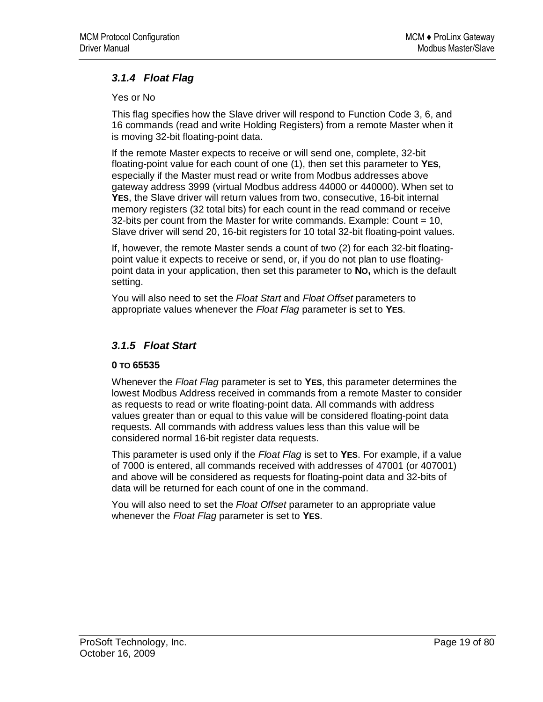## *3.1.4 Float Flag*

Yes or No

This flag specifies how the Slave driver will respond to Function Code 3, 6, and 16 commands (read and write Holding Registers) from a remote Master when it is moving 32-bit floating-point data.

If the remote Master expects to receive or will send one, complete, 32-bit floating-point value for each count of one (1), then set this parameter to **YES**, especially if the Master must read or write from Modbus addresses above gateway address 3999 (virtual Modbus address 44000 or 440000). When set to **YES**, the Slave driver will return values from two, consecutive, 16-bit internal memory registers (32 total bits) for each count in the read command or receive 32-bits per count from the Master for write commands. Example: Count = 10, Slave driver will send 20, 16-bit registers for 10 total 32-bit floating-point values.

If, however, the remote Master sends a count of two (2) for each 32-bit floatingpoint value it expects to receive or send, or, if you do not plan to use floatingpoint data in your application, then set this parameter to **NO,** which is the default setting.

You will also need to set the *Float Start* and *Float Offset* parameters to appropriate values whenever the *Float Flag* parameter is set to **YES**.

## *3.1.5 Float Start*

#### **0 TO 65535**

Whenever the *Float Flag* parameter is set to **YES**, this parameter determines the lowest Modbus Address received in commands from a remote Master to consider as requests to read or write floating-point data. All commands with address values greater than or equal to this value will be considered floating-point data requests. All commands with address values less than this value will be considered normal 16-bit register data requests.

This parameter is used only if the *Float Flag* is set to **YES**. For example, if a value of 7000 is entered, all commands received with addresses of 47001 (or 407001) and above will be considered as requests for floating-point data and 32-bits of data will be returned for each count of one in the command.

You will also need to set the *Float Offset* parameter to an appropriate value whenever the *Float Flag* parameter is set to **YES**.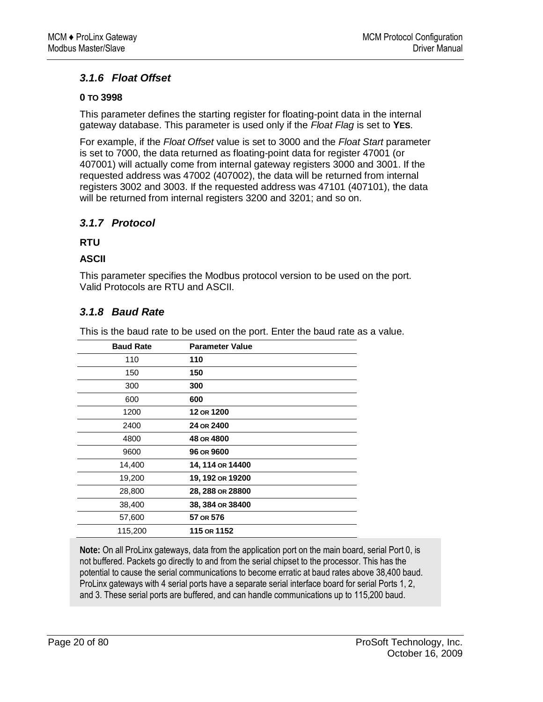## *3.1.6 Float Offset*

#### **0 TO 3998**

This parameter defines the starting register for floating-point data in the internal gateway database. This parameter is used only if the *Float Flag* is set to **YES**.

For example, if the *Float Offset* value is set to 3000 and the *Float Start* parameter is set to 7000, the data returned as floating-point data for register 47001 (or 407001) will actually come from internal gateway registers 3000 and 3001. If the requested address was 47002 (407002), the data will be returned from internal registers 3002 and 3003. If the requested address was 47101 (407101), the data will be returned from internal registers 3200 and 3201; and so on.

## *3.1.7 Protocol*

#### **RTU**

#### **ASCII**

This parameter specifies the Modbus protocol version to be used on the port. Valid Protocols are RTU and ASCII.

## *3.1.8 Baud Rate*

This is the baud rate to be used on the port. Enter the baud rate as a value.

| <b>Baud Rate</b> | <b>Parameter Value</b> |
|------------------|------------------------|
| 110              | 110                    |
| 150              | 150                    |
| 300              | 300                    |
| 600              | 600                    |
| 1200             | 12 OR 1200             |
| 2400             | 24 OR 2400             |
| 4800             | 48 OR 4800             |
| 9600             | 96 OR 9600             |
| 14,400           | 14, 114 OR 14400       |
| 19,200           | 19, 192 OR 19200       |
| 28,800           | 28, 288 OR 28800       |
| 38,400           | 38, 384 OR 38400       |
| 57,600           | 57 OR 576              |
| 115,200          | 115 OR 1152            |

**Note:** On all ProLinx gateways, data from the application port on the main board, serial Port 0, is not buffered. Packets go directly to and from the serial chipset to the processor. This has the potential to cause the serial communications to become erratic at baud rates above 38,400 baud. ProLinx gateways with 4 serial ports have a separate serial interface board for serial Ports 1, 2, and 3. These serial ports are buffered, and can handle communications up to 115,200 baud.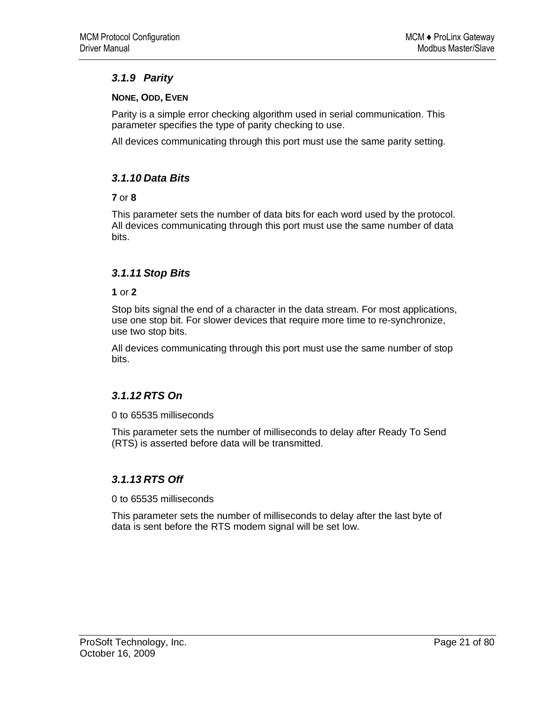## *3.1.9 Parity*

## **NONE, ODD, EVEN**

Parity is a simple error checking algorithm used in serial communication. This parameter specifies the type of parity checking to use.

All devices communicating through this port must use the same parity setting.

## *3.1.10 Data Bits*

#### **7** or **8**

This parameter sets the number of data bits for each word used by the protocol. All devices communicating through this port must use the same number of data bits.

## *3.1.11 Stop Bits*

#### **1** or **2**

Stop bits signal the end of a character in the data stream. For most applications, use one stop bit. For slower devices that require more time to re-synchronize, use two stop bits.

All devices communicating through this port must use the same number of stop bits.

## *3.1.12 RTS On*

0 to 65535 milliseconds

This parameter sets the number of milliseconds to delay after Ready To Send (RTS) is asserted before data will be transmitted.

## *3.1.13 RTS Off*

0 to 65535 milliseconds

This parameter sets the number of milliseconds to delay after the last byte of data is sent before the RTS modem signal will be set low.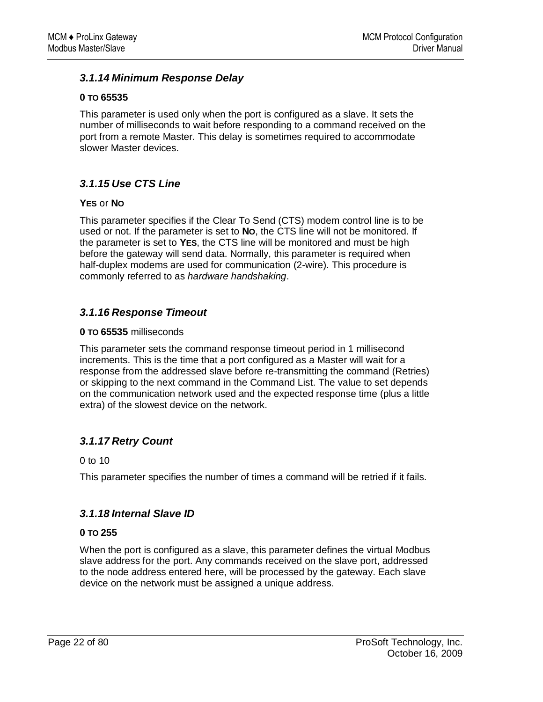## *3.1.14 Minimum Response Delay*

#### **0 TO 65535**

This parameter is used only when the port is configured as a slave. It sets the number of milliseconds to wait before responding to a command received on the port from a remote Master. This delay is sometimes required to accommodate slower Master devices.

## *3.1.15 Use CTS Line*

#### **YES** or **NO**

This parameter specifies if the Clear To Send (CTS) modem control line is to be used or not. If the parameter is set to **NO**, the CTS line will not be monitored. If the parameter is set to **YES**, the CTS line will be monitored and must be high before the gateway will send data. Normally, this parameter is required when half-duplex modems are used for communication (2-wire). This procedure is commonly referred to as *hardware handshaking*.

## *3.1.16 Response Timeout*

#### **0 TO 65535** milliseconds

This parameter sets the command response timeout period in 1 millisecond increments. This is the time that a port configured as a Master will wait for a response from the addressed slave before re-transmitting the command (Retries) or skipping to the next command in the Command List. The value to set depends on the communication network used and the expected response time (plus a little extra) of the slowest device on the network.

## *3.1.17 Retry Count*

0 to 10

This parameter specifies the number of times a command will be retried if it fails.

## *3.1.18 Internal Slave ID*

#### **0 TO 255**

When the port is configured as a slave, this parameter defines the virtual Modbus slave address for the port. Any commands received on the slave port, addressed to the node address entered here, will be processed by the gateway. Each slave device on the network must be assigned a unique address.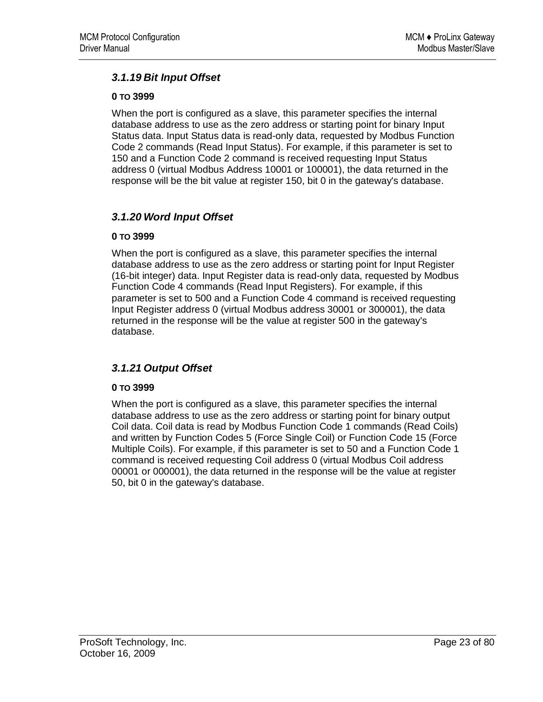## *3.1.19 Bit Input Offset*

#### **0 TO 3999**

When the port is configured as a slave, this parameter specifies the internal database address to use as the zero address or starting point for binary Input Status data. Input Status data is read-only data, requested by Modbus Function Code 2 commands (Read Input Status). For example, if this parameter is set to 150 and a Function Code 2 command is received requesting Input Status address 0 (virtual Modbus Address 10001 or 100001), the data returned in the response will be the bit value at register 150, bit 0 in the gateway's database.

## *3.1.20 Word Input Offset*

#### **0 TO 3999**

When the port is configured as a slave, this parameter specifies the internal database address to use as the zero address or starting point for Input Register (16-bit integer) data. Input Register data is read-only data, requested by Modbus Function Code 4 commands (Read Input Registers). For example, if this parameter is set to 500 and a Function Code 4 command is received requesting Input Register address 0 (virtual Modbus address 30001 or 300001), the data returned in the response will be the value at register 500 in the gateway's database.

## *3.1.21 Output Offset*

## **0 TO 3999**

When the port is configured as a slave, this parameter specifies the internal database address to use as the zero address or starting point for binary output Coil data. Coil data is read by Modbus Function Code 1 commands (Read Coils) and written by Function Codes 5 (Force Single Coil) or Function Code 15 (Force Multiple Coils). For example, if this parameter is set to 50 and a Function Code 1 command is received requesting Coil address 0 (virtual Modbus Coil address 00001 or 000001), the data returned in the response will be the value at register 50, bit 0 in the gateway's database.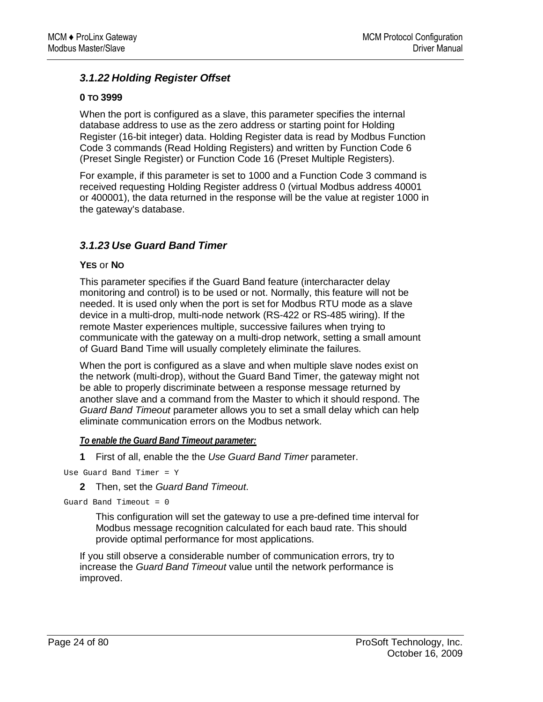## *3.1.22 Holding Register Offset*

#### **0 TO 3999**

When the port is configured as a slave, this parameter specifies the internal database address to use as the zero address or starting point for Holding Register (16-bit integer) data. Holding Register data is read by Modbus Function Code 3 commands (Read Holding Registers) and written by Function Code 6 (Preset Single Register) or Function Code 16 (Preset Multiple Registers).

For example, if this parameter is set to 1000 and a Function Code 3 command is received requesting Holding Register address 0 (virtual Modbus address 40001 or 400001), the data returned in the response will be the value at register 1000 in the gateway's database.

## *3.1.23 Use Guard Band Timer*

#### **YES** or **NO**

This parameter specifies if the Guard Band feature (intercharacter delay monitoring and control) is to be used or not. Normally, this feature will not be needed. It is used only when the port is set for Modbus RTU mode as a slave device in a multi-drop, multi-node network (RS-422 or RS-485 wiring). If the remote Master experiences multiple, successive failures when trying to communicate with the gateway on a multi-drop network, setting a small amount of Guard Band Time will usually completely eliminate the failures.

When the port is configured as a slave and when multiple slave nodes exist on the network (multi-drop), without the Guard Band Timer, the gateway might not be able to properly discriminate between a response message returned by another slave and a command from the Master to which it should respond. The *Guard Band Timeout* parameter allows you to set a small delay which can help eliminate communication errors on the Modbus network.

#### *To enable the Guard Band Timeout parameter:*

**1** First of all, enable the the *Use Guard Band Timer* parameter.

Use Guard Band Timer = Y

**2** Then, set the *Guard Band Timeout*.

```
Guard Band Timeout = 0
```
This configuration will set the gateway to use a pre-defined time interval for Modbus message recognition calculated for each baud rate. This should provide optimal performance for most applications.

If you still observe a considerable number of communication errors, try to increase the *Guard Band Timeout* value until the network performance is improved.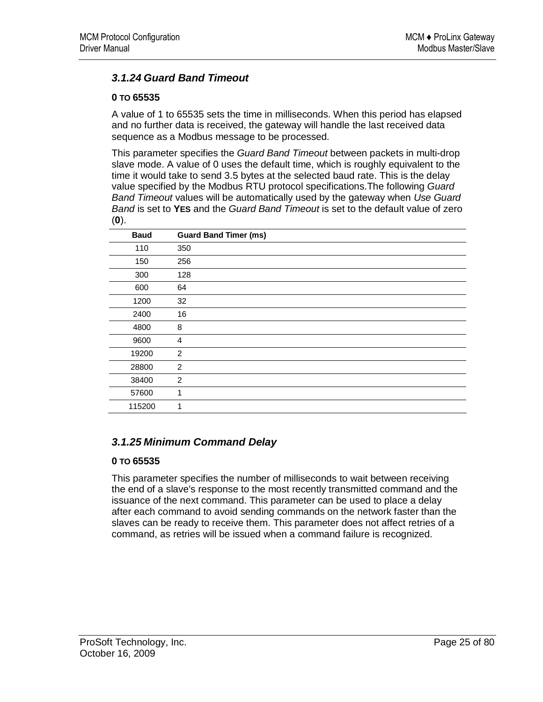## *3.1.24 Guard Band Timeout*

#### **0 TO 65535**

A value of 1 to 65535 sets the time in milliseconds. When this period has elapsed and no further data is received, the gateway will handle the last received data sequence as a Modbus message to be processed.

This parameter specifies the *Guard Band Timeout* between packets in multi-drop slave mode. A value of 0 uses the default time, which is roughly equivalent to the time it would take to send 3.5 bytes at the selected baud rate. This is the delay value specified by the Modbus RTU protocol specifications.The following *Guard Band Timeout* values will be automatically used by the gateway when *Use Guard Band* is set to **YES** and the *Guard Band Timeout* is set to the default value of zero (**0**).

| <b>Baud</b> | <b>Guard Band Timer (ms)</b> |
|-------------|------------------------------|
| 110         | 350                          |
| 150         | 256                          |
| 300         | 128                          |
| 600         | 64                           |
| 1200        | 32                           |
| 2400        | 16                           |
| 4800        | 8                            |
| 9600        | 4                            |
| 19200       | 2                            |
| 28800       | 2                            |
| 38400       | $\overline{c}$               |
| 57600       | 1                            |
| 115200      | 1                            |

## *3.1.25 Minimum Command Delay*

#### **0 TO 65535**

This parameter specifies the number of milliseconds to wait between receiving the end of a slave's response to the most recently transmitted command and the issuance of the next command. This parameter can be used to place a delay after each command to avoid sending commands on the network faster than the slaves can be ready to receive them. This parameter does not affect retries of a command, as retries will be issued when a command failure is recognized.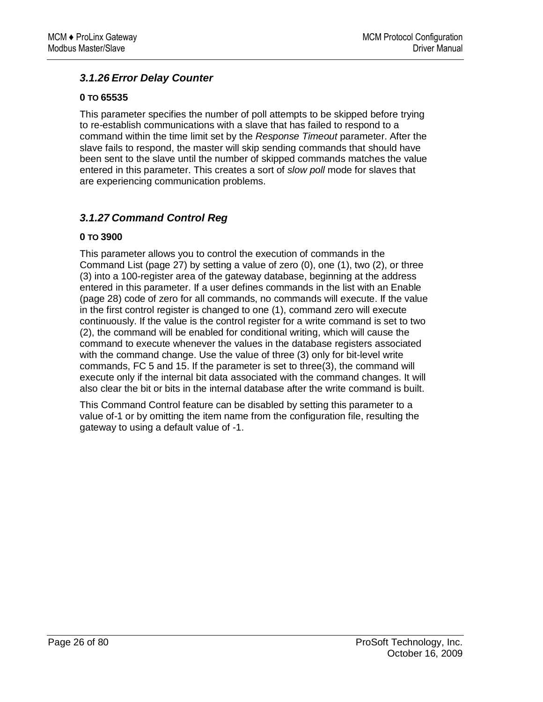## *3.1.26 Error Delay Counter*

#### **0 TO 65535**

This parameter specifies the number of poll attempts to be skipped before trying to re-establish communications with a slave that has failed to respond to a command within the time limit set by the *Response Timeout* parameter. After the slave fails to respond, the master will skip sending commands that should have been sent to the slave until the number of skipped commands matches the value entered in this parameter. This creates a sort of *slow poll* mode for slaves that are experiencing communication problems.

## *3.1.27 Command Control Reg*

#### **0 TO 3900**

This parameter allows you to control the execution of commands in the Command List (page 27) by setting a value of zero (0), one (1), two (2), or three (3) into a 100-register area of the gateway database, beginning at the address entered in this parameter. If a user defines commands in the list with an Enable (page 28) code of zero for all commands, no commands will execute. If the value in the first control register is changed to one (1), command zero will execute continuously. If the value is the control register for a write command is set to two (2), the command will be enabled for conditional writing, which will cause the command to execute whenever the values in the database registers associated with the command change. Use the value of three (3) only for bit-level write commands, FC 5 and 15. If the parameter is set to three(3), the command will execute only if the internal bit data associated with the command changes. It will also clear the bit or bits in the internal database after the write command is built.

This Command Control feature can be disabled by setting this parameter to a value of-1 or by omitting the item name from the configuration file, resulting the gateway to using a default value of -1.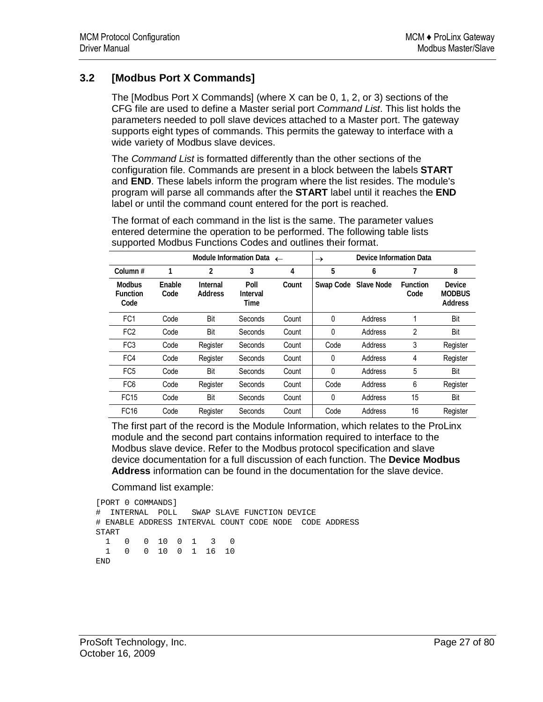## **3.2 [Modbus Port X Commands]**

The [Modbus Port X Commands] (where X can be 0, 1, 2, or 3) sections of the CFG file are used to define a Master serial port *Command List*. This list holds the parameters needed to poll slave devices attached to a Master port. The gateway supports eight types of commands. This permits the gateway to interface with a wide variety of Modbus slave devices.

The *Command List* is formatted differently than the other sections of the configuration file. Commands are present in a block between the labels **START** and **END**. These labels inform the program where the list resides. The module's program will parse all commands after the **START** label until it reaches the **END** label or until the command count entered for the port is reached.

The format of each command in the list is the same. The parameter values entered determine the operation to be performed. The following table lists supported Modbus Functions Codes and outlines their format.

| Module Information Data $\leftarrow$     |                |                     | Device Information Data<br>$\rightarrow$ |       |           |            |                         |                                           |
|------------------------------------------|----------------|---------------------|------------------------------------------|-------|-----------|------------|-------------------------|-------------------------------------------|
| Column#                                  | 1              | 2                   | 3                                        | 4     | 5         | 6          |                         | 8                                         |
| <b>Modbus</b><br><b>Function</b><br>Code | Enable<br>Code | Internal<br>Address | Poll<br>Interval<br>Time                 | Count | Swap Code | Slave Node | <b>Function</b><br>Code | Device<br><b>MODBUS</b><br><b>Address</b> |
| FC <sub>1</sub>                          | Code           | Bit                 | Seconds                                  | Count | 0         | Address    | 1                       | Bit                                       |
| FC <sub>2</sub>                          | Code           | Bit                 | Seconds                                  | Count | 0         | Address    | 2                       | Bit                                       |
| FC <sub>3</sub>                          | Code           | Register            | Seconds                                  | Count | Code      | Address    | 3                       | Register                                  |
| FC4                                      | Code           | Register            | Seconds                                  | Count | 0         | Address    | 4                       | Register                                  |
| FC <sub>5</sub>                          | Code           | Bit                 | Seconds                                  | Count | 0         | Address    | 5                       | Bit                                       |
| FC <sub>6</sub>                          | Code           | Register            | Seconds                                  | Count | Code      | Address    | 6                       | Register                                  |
| <b>FC15</b>                              | Code           | Bit                 | Seconds                                  | Count | 0         | Address    | 15                      | Bit                                       |
| <b>FC16</b>                              | Code           | Register            | Seconds                                  | Count | Code      | Address    | 16                      | Register                                  |

The first part of the record is the Module Information, which relates to the ProLinx module and the second part contains information required to interface to the Modbus slave device. Refer to the Modbus protocol specification and slave device documentation for a full discussion of each function. The **Device Modbus Address** information can be found in the documentation for the slave device.

Command list example:

```
[PORT 0 COMMANDS] 
# INTERNAL POLL SWAP SLAVE FUNCTION DEVICE 
# ENABLE ADDRESS INTERVAL COUNT CODE NODE CODE ADDRESS 
START 
  1 0 0 10 0 1 3 0 
  1 0 0 10 0 1 16 10 
END
```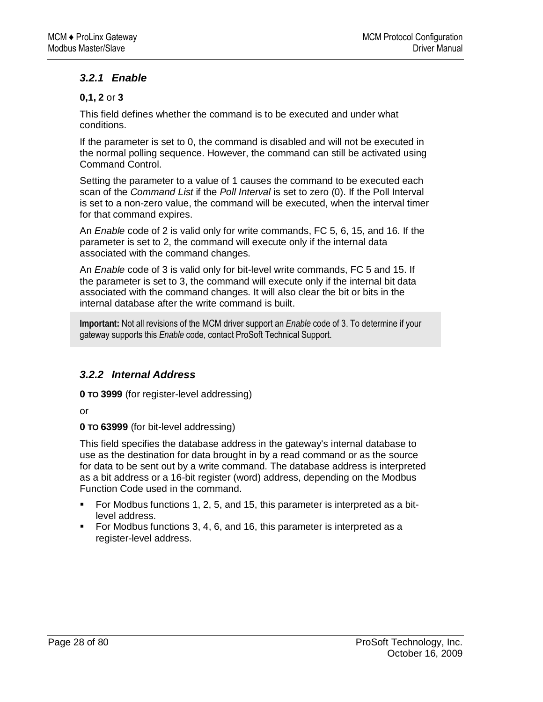## *3.2.1 Enable*

#### **0,1, 2** or **3**

This field defines whether the command is to be executed and under what conditions.

If the parameter is set to 0, the command is disabled and will not be executed in the normal polling sequence. However, the command can still be activated using Command Control.

Setting the parameter to a value of 1 causes the command to be executed each scan of the *Command List* if the *Poll Interval* is set to zero (0). If the Poll Interval is set to a non-zero value, the command will be executed, when the interval timer for that command expires.

An *Enable* code of 2 is valid only for write commands, FC 5, 6, 15, and 16. If the parameter is set to 2, the command will execute only if the internal data associated with the command changes.

An *Enable* code of 3 is valid only for bit-level write commands, FC 5 and 15. If the parameter is set to 3, the command will execute only if the internal bit data associated with the command changes. It will also clear the bit or bits in the internal database after the write command is built.

**Important:** Not all revisions of the MCM driver support an *Enable* code of 3. To determine if your gateway supports this *Enable* code, contact ProSoft Technical Support.

## *3.2.2 Internal Address*

**0 TO 3999** (for register-level addressing)

or

**0 TO 63999** (for bit-level addressing)

This field specifies the database address in the gateway's internal database to use as the destination for data brought in by a read command or as the source for data to be sent out by a write command. The database address is interpreted as a bit address or a 16-bit register (word) address, depending on the Modbus Function Code used in the command.

- For Modbus functions 1, 2, 5, and 15, this parameter is interpreted as a bitlevel address.
- For Modbus functions 3, 4, 6, and 16, this parameter is interpreted as a register-level address.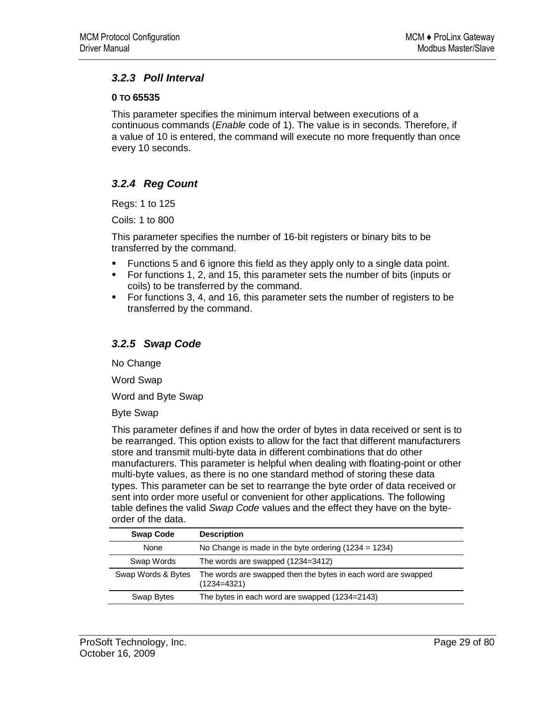## *3.2.3 Poll Interval*

#### **0 TO 65535**

This parameter specifies the minimum interval between executions of a continuous commands (*Enable* code of 1). The value is in seconds. Therefore, if a value of 10 is entered, the command will execute no more frequently than once every 10 seconds.

## *3.2.4 Reg Count*

Regs: 1 to 125

Coils: 1 to 800

This parameter specifies the number of 16-bit registers or binary bits to be transferred by the command.

- Functions 5 and 6 ignore this field as they apply only to a single data point.
- For functions 1, 2, and 15, this parameter sets the number of bits (inputs or coils) to be transferred by the command.
- For functions 3, 4, and 16, this parameter sets the number of registers to be transferred by the command.

## *3.2.5 Swap Code*

No Change

Word Swap

Word and Byte Swap

Byte Swap

This parameter defines if and how the order of bytes in data received or sent is to be rearranged. This option exists to allow for the fact that different manufacturers store and transmit multi-byte data in different combinations that do other manufacturers. This parameter is helpful when dealing with floating-point or other multi-byte values, as there is no one standard method of storing these data types. This parameter can be set to rearrange the byte order of data received or sent into order more useful or convenient for other applications. The following table defines the valid *Swap Code* values and the effect they have on the byteorder of the data.

| <b>Swap Code</b>   | <b>Description</b>                                                             |
|--------------------|--------------------------------------------------------------------------------|
| None               | No Change is made in the byte ordering $(1234 = 1234)$                         |
| Swap Words         | The words are swapped (1234=3412)                                              |
| Swap Words & Bytes | The words are swapped then the bytes in each word are swapped<br>$(1234=4321)$ |
| Swap Bytes         | The bytes in each word are swapped (1234=2143)                                 |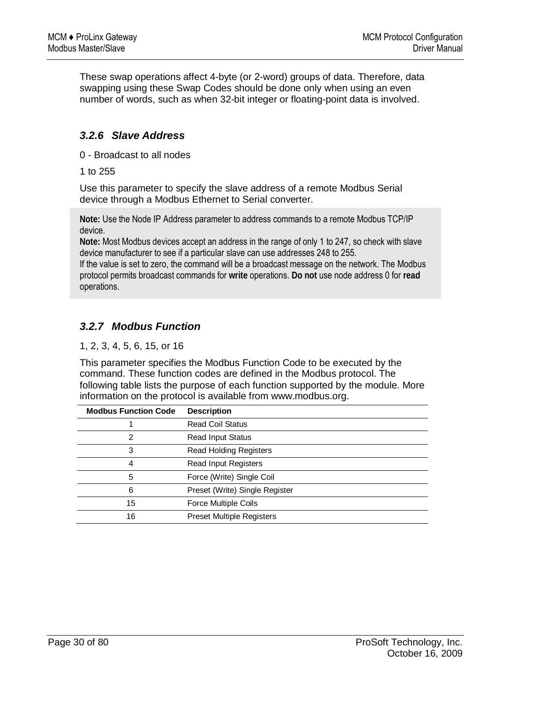These swap operations affect 4-byte (or 2-word) groups of data. Therefore, data swapping using these Swap Codes should be done only when using an even number of words, such as when 32-bit integer or floating-point data is involved.

## *3.2.6 Slave Address*

0 - Broadcast to all nodes

1 to 255

Use this parameter to specify the slave address of a remote Modbus Serial device through a Modbus Ethernet to Serial converter.

**Note:** Use the Node IP Address parameter to address commands to a remote Modbus TCP/IP device.

**Note:** Most Modbus devices accept an address in the range of only 1 to 247, so check with slave device manufacturer to see if a particular slave can use addresses 248 to 255.

If the value is set to zero, the command will be a broadcast message on the network. The Modbus protocol permits broadcast commands for **write** operations. **Do not** use node address 0 for **read** operations.

## *3.2.7 Modbus Function*

1, 2, 3, 4, 5, 6, 15, or 16

This parameter specifies the Modbus Function Code to be executed by the command. These function codes are defined in the Modbus protocol. The following table lists the purpose of each function supported by the module. More information on the protocol is available from www.modbus.org.

| <b>Modbus Function Code</b> | <b>Description</b>               |
|-----------------------------|----------------------------------|
|                             | <b>Read Coil Status</b>          |
| 2                           | <b>Read Input Status</b>         |
| 3                           | <b>Read Holding Registers</b>    |
| 4                           | Read Input Registers             |
| 5                           | Force (Write) Single Coil        |
| 6                           | Preset (Write) Single Register   |
| 15                          | Force Multiple Coils             |
| 16                          | <b>Preset Multiple Registers</b> |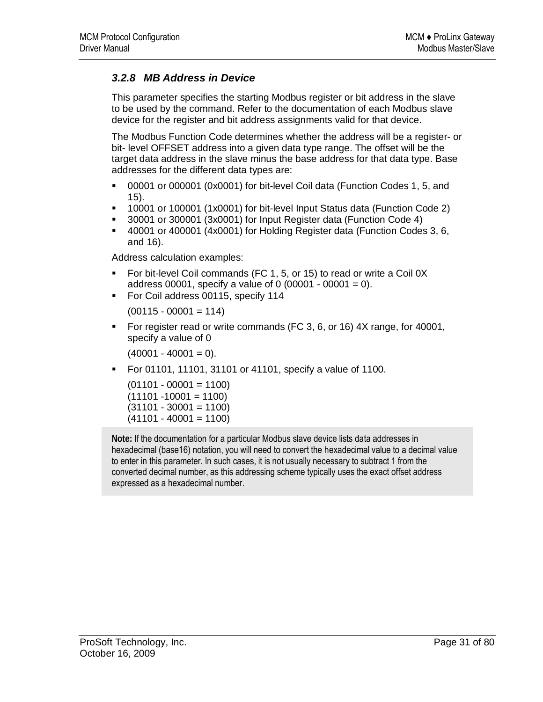## *3.2.8 MB Address in Device*

This parameter specifies the starting Modbus register or bit address in the slave to be used by the command. Refer to the documentation of each Modbus slave device for the register and bit address assignments valid for that device.

The Modbus Function Code determines whether the address will be a register- or bit- level OFFSET address into a given data type range. The offset will be the target data address in the slave minus the base address for that data type. Base addresses for the different data types are:

- 00001 or 000001 (0x0001) for bit-level Coil data (Function Codes 1, 5, and 15).
- 10001 or 100001 (1x0001) for bit-level Input Status data (Function Code 2)
- 30001 or 300001 (3x0001) for Input Register data (Function Code 4)
- 40001 or 400001 (4x0001) for Holding Register data (Function Codes 3, 6, and 16).

Address calculation examples:

- For bit-level Coil commands (FC 1, 5, or 15) to read or write a Coil 0X address 00001, specify a value of 0  $(00001 - 00001 = 0)$ .
- For Coil address 00115, specify 114

 $(00115 - 00001 = 114)$ 

 For register read or write commands (FC 3, 6, or 16) 4X range, for 40001, specify a value of 0

 $(40001 - 40001 = 0)$ .

For 01101, 11101, 31101 or 41101, specify a value of 1100.

 $(01101 - 00001 = 1100)$  $(11101 - 10001 = 1100)$  $(31101 - 30001 = 1100)$  $(41101 - 40001 = 1100)$ 

**Note:** If the documentation for a particular Modbus slave device lists data addresses in hexadecimal (base16) notation, you will need to convert the hexadecimal value to a decimal value to enter in this parameter. In such cases, it is not usually necessary to subtract 1 from the converted decimal number, as this addressing scheme typically uses the exact offset address expressed as a hexadecimal number.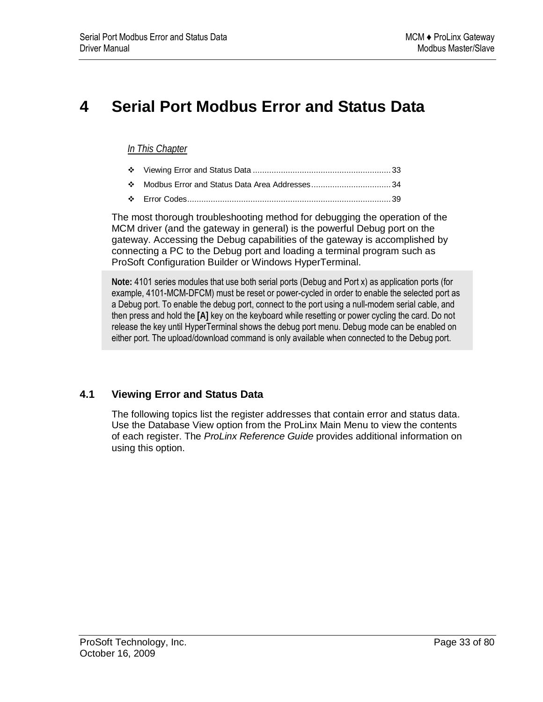# **4 Serial Port Modbus Error and Status Data**

#### *In This Chapter*

- Viewing Error and Status Data ........................................................... 33
- Modbus Error and Status Data Area Addresses.................................. 34
- Error Codes....................................................................................... 39

The most thorough troubleshooting method for debugging the operation of the MCM driver (and the gateway in general) is the powerful Debug port on the gateway. Accessing the Debug capabilities of the gateway is accomplished by connecting a PC to the Debug port and loading a terminal program such as ProSoft Configuration Builder or Windows HyperTerminal.

**Note:** 4101 series modules that use both serial ports (Debug and Port x) as application ports (for example, 4101-MCM-DFCM) must be reset or power-cycled in order to enable the selected port as a Debug port. To enable the debug port, connect to the port using a null-modem serial cable, and then press and hold the **[A]** key on the keyboard while resetting or power cycling the card. Do not release the key until HyperTerminal shows the debug port menu. Debug mode can be enabled on either port. The upload/download command is only available when connected to the Debug port.

## **4.1 Viewing Error and Status Data**

The following topics list the register addresses that contain error and status data. Use the Database View option from the ProLinx Main Menu to view the contents of each register. The *ProLinx Reference Guide* provides additional information on using this option.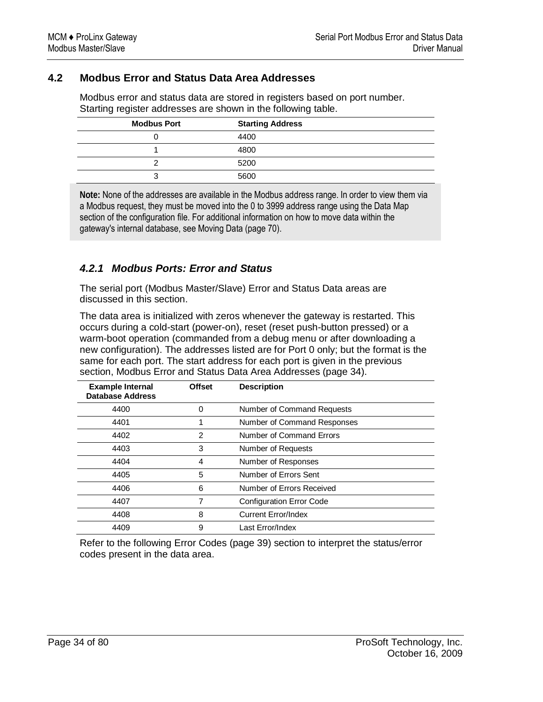## **4.2 Modbus Error and Status Data Area Addresses**

Modbus error and status data are stored in registers based on port number. Starting register addresses are shown in the following table.

| <b>Modbus Port</b> | <b>Starting Address</b> |
|--------------------|-------------------------|
|                    | 4400                    |
|                    | 4800                    |
| c                  | 5200                    |
| 3                  | 5600                    |

**Note:** None of the addresses are available in the Modbus address range. In order to view them via a Modbus request, they must be moved into the 0 to 3999 address range using the Data Map section of the configuration file. For additional information on how to move data within the gateway's internal database, see Moving Data (page 70).

## *4.2.1 Modbus Ports: Error and Status*

The serial port (Modbus Master/Slave) Error and Status Data areas are discussed in this section.

The data area is initialized with zeros whenever the gateway is restarted. This occurs during a cold-start (power-on), reset (reset push-button pressed) or a warm-boot operation (commanded from a debug menu or after downloading a new configuration). The addresses listed are for Port 0 only; but the format is the same for each port. The start address for each port is given in the previous section, Modbus Error and Status Data Area Addresses (page 34).

| <b>Example Internal</b><br><b>Database Address</b> | <b>Offset</b> | <b>Description</b>              |
|----------------------------------------------------|---------------|---------------------------------|
| 4400                                               | $\Omega$      | Number of Command Requests      |
| 4401                                               |               | Number of Command Responses     |
| 4402                                               | 2             | Number of Command Errors        |
| 4403                                               | 3             | Number of Requests              |
| 4404                                               | 4             | Number of Responses             |
| 4405                                               | 5             | Number of Errors Sent           |
| 4406                                               | 6             | Number of Errors Received       |
| 4407                                               | 7             | <b>Configuration Error Code</b> |
| 4408                                               | 8             | <b>Current Error/Index</b>      |
| 4409                                               | 9             | Last Error/Index                |

Refer to the following Error Codes (page 39) section to interpret the status/error codes present in the data area.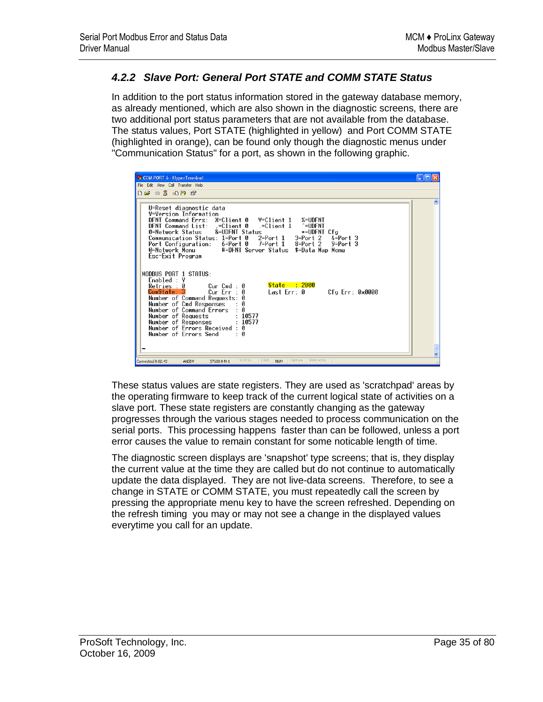## *4.2.2 Slave Port: General Port STATE and COMM STATE Status*

In addition to the port status information stored in the gateway database memory, as already mentioned, which are also shown in the diagnostic screens, there are two additional port status parameters that are not available from the database. The status values, Port STATE (highlighted in yellow) and Port COMM STATE (highlighted in orange), can be found only though the diagnostic menus under "Communication Status" for a port, as shown in the following graphic.

These status values are state registers. They are used as 'scratchpad' areas by the operating firmware to keep track of the current logical state of activities on a slave port. These state registers are constantly changing as the gateway progresses through the various stages needed to process communication on the serial ports. This processing happens faster than can be followed, unless a port error causes the value to remain constant for some noticable length of time.

The diagnostic screen displays are 'snapshot' type screens; that is, they display the current value at the time they are called but do not continue to automatically update the data displayed. They are not live-data screens. Therefore, to see a change in STATE or COMM STATE, you must repeatedly call the screen by pressing the appropriate menu key to have the screen refreshed. Depending on the refresh timing you may or may not see a change in the displayed values everytime you call for an update.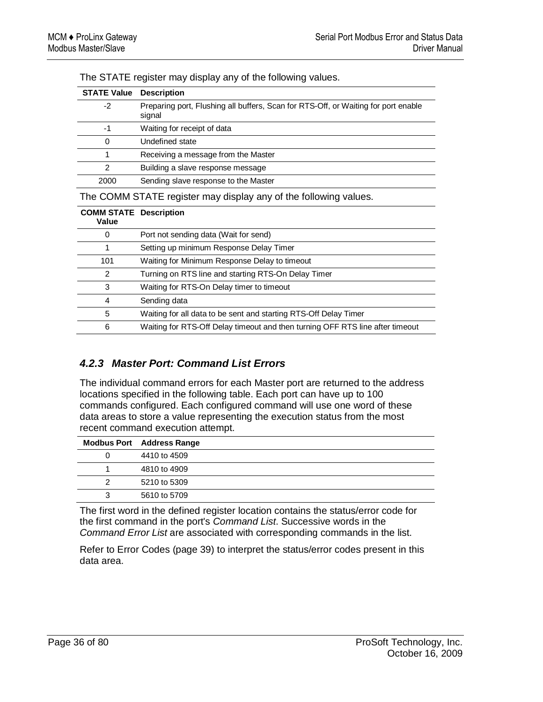| <b>Description</b>                                                                           |
|----------------------------------------------------------------------------------------------|
| Preparing port, Flushing all buffers, Scan for RTS-Off, or Waiting for port enable<br>signal |
| Waiting for receipt of data                                                                  |
| Undefined state                                                                              |
| Receiving a message from the Master                                                          |
| Building a slave response message                                                            |
| Sending slave response to the Master                                                         |
|                                                                                              |

The STATE register may display any of the following values.

The COMM STATE register may display any of the following values.

| <b>COMM STATE Description</b><br>Value |                                                                               |
|----------------------------------------|-------------------------------------------------------------------------------|
| 0                                      | Port not sending data (Wait for send)                                         |
|                                        | Setting up minimum Response Delay Timer                                       |
| 101                                    | Waiting for Minimum Response Delay to timeout                                 |
| 2                                      | Turning on RTS line and starting RTS-On Delay Timer                           |
| 3                                      | Waiting for RTS-On Delay timer to timeout                                     |
| 4                                      | Sending data                                                                  |
| 5                                      | Waiting for all data to be sent and starting RTS-Off Delay Timer              |
| 6                                      | Waiting for RTS-Off Delay timeout and then turning OFF RTS line after timeout |

## *4.2.3 Master Port: Command List Errors*

The individual command errors for each Master port are returned to the address locations specified in the following table. Each port can have up to 100 commands configured. Each configured command will use one word of these data areas to store a value representing the execution status from the most recent command execution attempt.

|   | <b>Modbus Port</b> Address Range |
|---|----------------------------------|
| 0 | 4410 to 4509                     |
|   | 4810 to 4909                     |
| 2 | 5210 to 5309                     |
| 3 | 5610 to 5709                     |

The first word in the defined register location contains the status/error code for the first command in the port's *Command List*. Successive words in the *Command Error List* are associated with corresponding commands in the list.

Refer to Error Codes (page 39) to interpret the status/error codes present in this data area.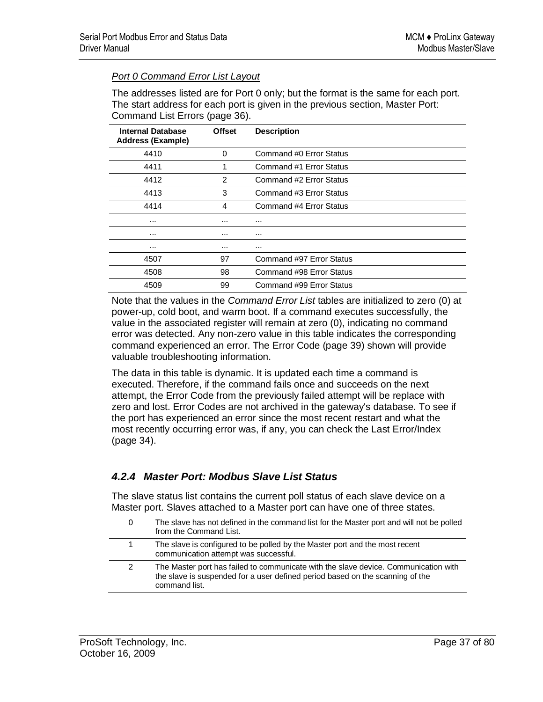### *Port 0 Command Error List Layout*

The addresses listed are for Port 0 only; but the format is the same for each port. The start address for each port is given in the previous section, Master Port: Command List Errors (page 36).

| <b>Internal Database</b><br><b>Address (Example)</b> | <b>Offset</b> | <b>Description</b>       |
|------------------------------------------------------|---------------|--------------------------|
| 4410                                                 | 0             | Command #0 Error Status  |
| 4411                                                 | 1             | Command #1 Error Status  |
| 4412                                                 | 2             | Command #2 Error Status  |
| 4413                                                 | 3             | Command #3 Error Status  |
| 4414                                                 | 4             | Command #4 Error Status  |
| $\cdots$                                             | $\cdots$      | $\cdots$                 |
| $\cdots$                                             | $\cdots$      | $\cdots$                 |
| $\cdots$                                             | $\cdots$      | $\cdots$                 |
| 4507                                                 | 97            | Command #97 Error Status |
| 4508                                                 | 98            | Command #98 Error Status |
| 4509                                                 | 99            | Command #99 Error Status |

Note that the values in the *Command Error List* tables are initialized to zero (0) at power-up, cold boot, and warm boot. If a command executes successfully, the value in the associated register will remain at zero (0), indicating no command error was detected. Any non-zero value in this table indicates the corresponding command experienced an error. The Error Code (page 39) shown will provide valuable troubleshooting information.

The data in this table is dynamic. It is updated each time a command is executed. Therefore, if the command fails once and succeeds on the next attempt, the Error Code from the previously failed attempt will be replace with zero and lost. Error Codes are not archived in the gateway's database. To see if the port has experienced an error since the most recent restart and what the most recently occurring error was, if any, you can check the Last Error/Index (page 34).

## *4.2.4 Master Port: Modbus Slave List Status*

The slave status list contains the current poll status of each slave device on a Master port. Slaves attached to a Master port can have one of three states.

| U | The slave has not defined in the command list for the Master port and will not be polled<br>from the Command List.                                                                    |
|---|---------------------------------------------------------------------------------------------------------------------------------------------------------------------------------------|
|   | The slave is configured to be polled by the Master port and the most recent<br>communication attempt was successful.                                                                  |
| 2 | The Master port has failed to communicate with the slave device. Communication with<br>the slave is suspended for a user defined period based on the scanning of the<br>command list. |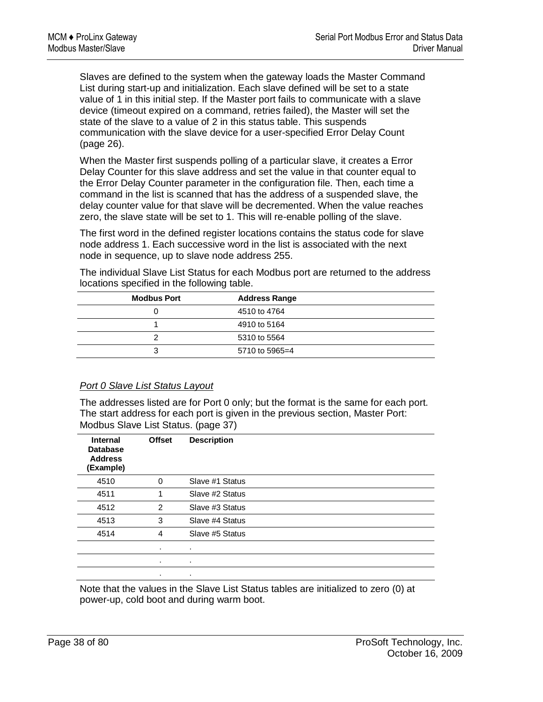Slaves are defined to the system when the gateway loads the Master Command List during start-up and initialization. Each slave defined will be set to a state value of 1 in this initial step. If the Master port fails to communicate with a slave device (timeout expired on a command, retries failed), the Master will set the state of the slave to a value of 2 in this status table. This suspends communication with the slave device for a user-specified Error Delay Count (page 26).

When the Master first suspends polling of a particular slave, it creates a Error Delay Counter for this slave address and set the value in that counter equal to the Error Delay Counter parameter in the configuration file. Then, each time a command in the list is scanned that has the address of a suspended slave, the delay counter value for that slave will be decremented. When the value reaches zero, the slave state will be set to 1. This will re-enable polling of the slave.

The first word in the defined register locations contains the status code for slave node address 1. Each successive word in the list is associated with the next node in sequence, up to slave node address 255.

| <b>Modbus Port</b> | <b>Address Range</b> |  |
|--------------------|----------------------|--|
|                    | 4510 to 4764         |  |
|                    | 4910 to 5164         |  |
|                    | 5310 to 5564         |  |
| 3                  | $5710$ to $5965=4$   |  |
|                    |                      |  |

The individual Slave List Status for each Modbus port are returned to the address locations specified in the following table.

## *Port 0 Slave List Status Layout*

The addresses listed are for Port 0 only; but the format is the same for each port. The start address for each port is given in the previous section, Master Port: Modbus Slave List Status. (page 37)

| Internal<br><b>Database</b><br><b>Address</b><br>(Example) | <b>Offset</b>  | <b>Description</b> |
|------------------------------------------------------------|----------------|--------------------|
| 4510                                                       | $\Omega$       | Slave #1 Status    |
| 4511                                                       | 1              | Slave #2 Status    |
| 4512                                                       | $\overline{2}$ | Slave #3 Status    |
| 4513                                                       | 3              | Slave #4 Status    |
| 4514                                                       | 4              | Slave #5 Status    |
|                                                            | ٠.             | ٠.                 |
|                                                            | ٠              | ٠                  |
|                                                            | ٠              | ٠                  |

Note that the values in the Slave List Status tables are initialized to zero (0) at power-up, cold boot and during warm boot.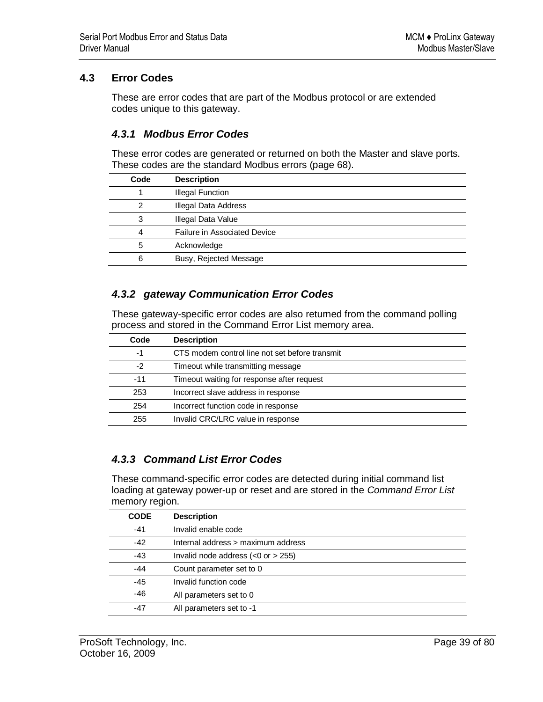## **4.3 Error Codes**

These are error codes that are part of the Modbus protocol or are extended codes unique to this gateway.

## *4.3.1 Modbus Error Codes*

These error codes are generated or returned on both the Master and slave ports. These codes are the standard Modbus errors (page 68).

| Code | <b>Description</b>                  |
|------|-------------------------------------|
|      | <b>Illegal Function</b>             |
| 2    | Illegal Data Address                |
| 3    | <b>Illegal Data Value</b>           |
| 4    | <b>Failure in Associated Device</b> |
| 5    | Acknowledge                         |
| 6    | Busy, Rejected Message              |

## *4.3.2 gateway Communication Error Codes*

These gateway-specific error codes are also returned from the command polling process and stored in the Command Error List memory area.

| Code  | <b>Description</b>                             |
|-------|------------------------------------------------|
| -1    | CTS modem control line not set before transmit |
| $-2$  | Timeout while transmitting message             |
| $-11$ | Timeout waiting for response after request     |
| 253   | Incorrect slave address in response            |
| 254   | Incorrect function code in response            |
| 255   | Invalid CRC/LRC value in response              |

## *4.3.3 Command List Error Codes*

These command-specific error codes are detected during initial command list loading at gateway power-up or reset and are stored in the *Command Error List* memory region.

| <b>CODE</b> | <b>Description</b>                      |
|-------------|-----------------------------------------|
| $-41$       | Invalid enable code                     |
| $-42$       | Internal address > maximum address      |
| $-43$       | Invalid node address $(<0$ or $> 255$ ) |
| $-44$       | Count parameter set to 0                |
| $-45$       | Invalid function code                   |
| $-46$       | All parameters set to 0                 |
| -47         | All parameters set to -1                |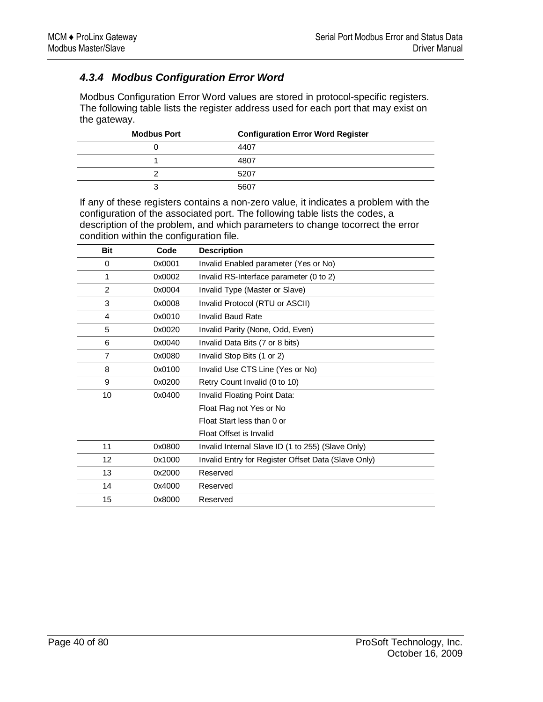# *4.3.4 Modbus Configuration Error Word*

Modbus Configuration Error Word values are stored in protocol-specific registers. The following table lists the register address used for each port that may exist on the gateway.

| <b>Modbus Port</b> | <b>Configuration Error Word Register</b> |
|--------------------|------------------------------------------|
|                    | 4407                                     |
|                    | 4807                                     |
|                    | 5207                                     |
| ╭                  | 5607                                     |

If any of these registers contains a non-zero value, it indicates a problem with the configuration of the associated port. The following table lists the codes, a description of the problem, and which parameters to change tocorrect the error condition within the configuration file.

| <b>Bit</b>     | Code   | <b>Description</b>                                  |
|----------------|--------|-----------------------------------------------------|
| 0              | 0x0001 | Invalid Enabled parameter (Yes or No)               |
| 1              | 0x0002 | Invalid RS-Interface parameter (0 to 2)             |
| $\overline{2}$ | 0x0004 | Invalid Type (Master or Slave)                      |
| 3              | 0x0008 | Invalid Protocol (RTU or ASCII)                     |
| 4              | 0x0010 | <b>Invalid Baud Rate</b>                            |
| 5              | 0x0020 | Invalid Parity (None, Odd, Even)                    |
| 6              | 0x0040 | Invalid Data Bits (7 or 8 bits)                     |
| $\overline{7}$ | 0x0080 | Invalid Stop Bits (1 or 2)                          |
| 8              | 0x0100 | Invalid Use CTS Line (Yes or No)                    |
| 9              | 0x0200 | Retry Count Invalid (0 to 10)                       |
| 10             | 0x0400 | Invalid Floating Point Data:                        |
|                |        | Float Flag not Yes or No                            |
|                |        | Float Start less than 0 or                          |
|                |        | Float Offset is Invalid                             |
| 11             | 0x0800 | Invalid Internal Slave ID (1 to 255) (Slave Only)   |
| 12             | 0x1000 | Invalid Entry for Register Offset Data (Slave Only) |
| 13             | 0x2000 | Reserved                                            |
| 14             | 0x4000 | Reserved                                            |
| 15             | 0x8000 | Reserved                                            |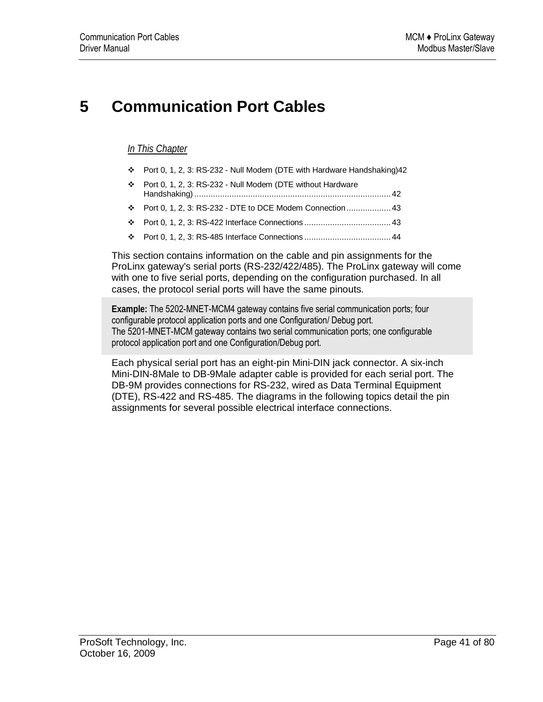# **5 Communication Port Cables**

### *In This Chapter*

- Port 0, 1, 2, 3: RS-232 Null Modem (DTE with Hardware Handshaking)42
- Port 0, 1, 2, 3: RS-232 Null Modem (DTE without Hardware Handshaking) .................................................................................... 42
- Port 0, 1, 2, 3: RS-232 DTE to DCE Modem Connection................... 43
- Port 0, 1, 2, 3: RS-422 Interface Connections ..................................... 43
- Port 0, 1, 2, 3: RS-485 Interface Connections ..................................... 44

This section contains information on the cable and pin assignments for the ProLinx gateway's serial ports (RS-232/422/485). The ProLinx gateway will come with one to five serial ports, depending on the configuration purchased. In all cases, the protocol serial ports will have the same pinouts.

**Example:** The 5202-MNET-MCM4 gateway contains five serial communication ports; four configurable protocol application ports and one Configuration/ Debug port. The 5201-MNET-MCM gateway contains two serial communication ports; one configurable protocol application port and one Configuration/Debug port.

Each physical serial port has an eight-pin Mini-DIN jack connector. A six-inch Mini-DIN-8Male to DB-9Male adapter cable is provided for each serial port. The DB-9M provides connections for RS-232, wired as Data Terminal Equipment (DTE), RS-422 and RS-485. The diagrams in the following topics detail the pin assignments for several possible electrical interface connections.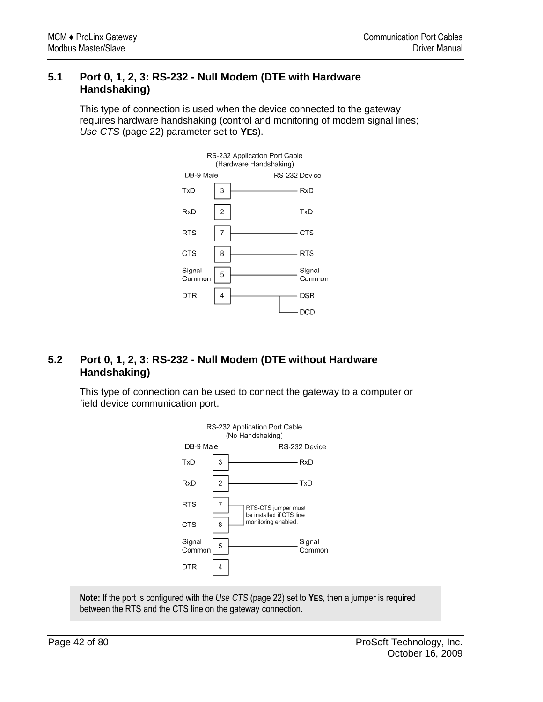## **5.1 Port 0, 1, 2, 3: RS-232 - Null Modem (DTE with Hardware Handshaking)**

This type of connection is used when the device connected to the gateway requires hardware handshaking (control and monitoring of modem signal lines; *Use CTS* (page 22) parameter set to **YES**).



# **5.2 Port 0, 1, 2, 3: RS-232 - Null Modem (DTE without Hardware Handshaking)**

This type of connection can be used to connect the gateway to a computer or field device communication port.



**Note:** If the port is configured with the *Use CTS* (page 22) set to **YES**, then a jumper is required between the RTS and the CTS line on the gateway connection.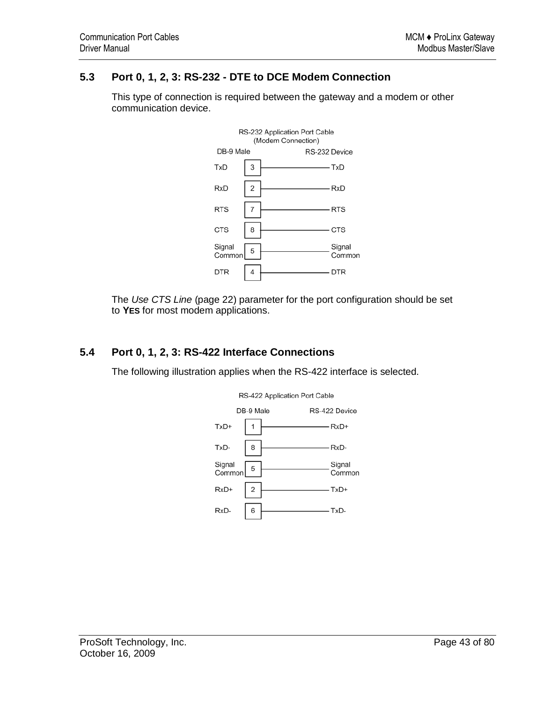## **5.3 Port 0, 1, 2, 3: RS-232 - DTE to DCE Modem Connection**



This type of connection is required between the gateway and a modem or other communication device.

The *Use CTS Line* (page 22) parameter for the port configuration should be set to **YES** for most modem applications.

## **5.4 Port 0, 1, 2, 3: RS-422 Interface Connections**

The following illustration applies when the RS-422 interface is selected.



RS-422 Application Port Cable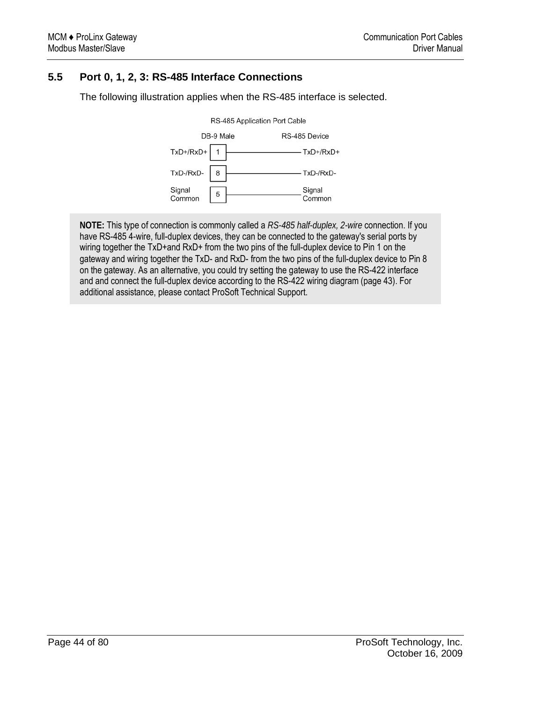# **5.5 Port 0, 1, 2, 3: RS-485 Interface Connections**

The following illustration applies when the RS-485 interface is selected.



**NOTE:** This type of connection is commonly called a *RS-485 half-duplex, 2-wire* connection. If you have RS-485 4-wire, full-duplex devices, they can be connected to the gateway's serial ports by wiring together the TxD+and RxD+ from the two pins of the full-duplex device to Pin 1 on the gateway and wiring together the TxD- and RxD- from the two pins of the full-duplex device to Pin 8 on the gateway. As an alternative, you could try setting the gateway to use the RS-422 interface and and connect the full-duplex device according to the RS-422 wiring diagram (page 43). For additional assistance, please contact ProSoft Technical Support.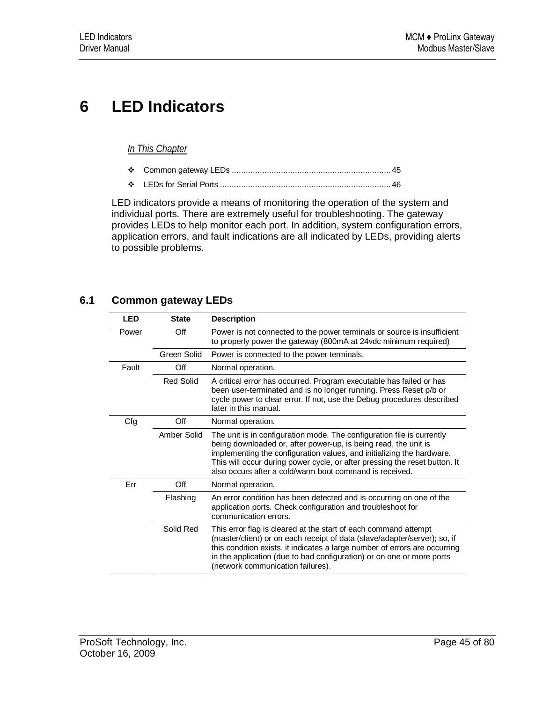# **6 LED Indicators**

## *In This Chapter*

- Common gateway LEDs .................................................................... 45
- LEDs for Serial Ports ......................................................................... 46

LED indicators provide a means of monitoring the operation of the system and individual ports. There are extremely useful for troubleshooting. The gateway provides LEDs to help monitor each port. In addition, system configuration errors, application errors, and fault indications are all indicated by LEDs, providing alerts to possible problems.

## **6.1 Common gateway LEDs**

| <b>LED</b> | <b>State</b>     | <b>Description</b>                                                                                                                                                                                                                                                                                                                                          |
|------------|------------------|-------------------------------------------------------------------------------------------------------------------------------------------------------------------------------------------------------------------------------------------------------------------------------------------------------------------------------------------------------------|
| Power      | Off              | Power is not connected to the power terminals or source is insufficient<br>to properly power the gateway (800mA at 24vdc minimum required)                                                                                                                                                                                                                  |
|            | Green Solid      | Power is connected to the power terminals.                                                                                                                                                                                                                                                                                                                  |
| Fault      | Off              | Normal operation.                                                                                                                                                                                                                                                                                                                                           |
|            | <b>Red Solid</b> | A critical error has occurred. Program executable has failed or has<br>been user-terminated and is no longer running. Press Reset p/b or<br>cycle power to clear error. If not, use the Debug procedures described<br>later in this manual.                                                                                                                 |
| Cfg        | Off              | Normal operation.                                                                                                                                                                                                                                                                                                                                           |
|            | Amber Solid      | The unit is in configuration mode. The configuration file is currently<br>being downloaded or, after power-up, is being read, the unit is<br>implementing the configuration values, and initializing the hardware.<br>This will occur during power cycle, or after pressing the reset button. It<br>also occurs after a cold/warm boot command is received. |
| Err        | Off              | Normal operation.                                                                                                                                                                                                                                                                                                                                           |
|            | Flashing         | An error condition has been detected and is occurring on one of the<br>application ports. Check configuration and troubleshoot for<br>communication errors.                                                                                                                                                                                                 |
|            | Solid Red        | This error flag is cleared at the start of each command attempt<br>(master/client) or on each receipt of data (slave/adapter/server); so, if<br>this condition exists, it indicates a large number of errors are occurring<br>in the application (due to bad configuration) or on one or more ports<br>(network communication failures).                    |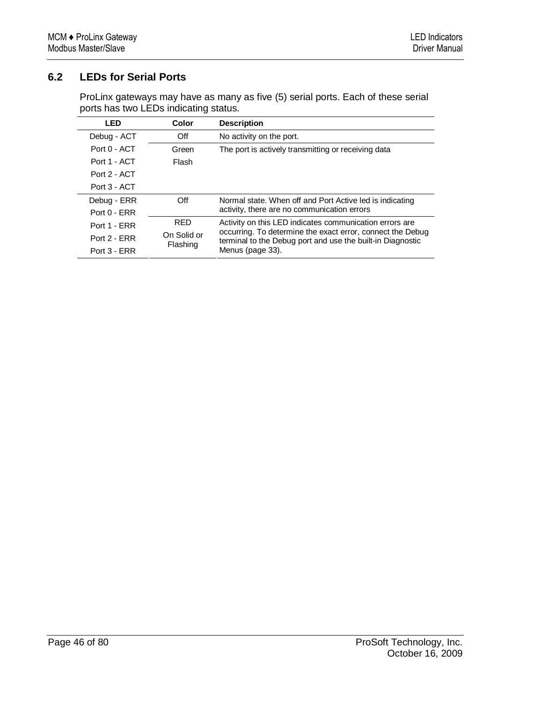# **6.2 LEDs for Serial Ports**

ProLinx gateways may have as many as five (5) serial ports. Each of these serial ports has two LEDs indicating status.

| <b>LED</b>     | Color       | <b>Description</b>                                                                                                       |
|----------------|-------------|--------------------------------------------------------------------------------------------------------------------------|
| Debug - ACT    | Off         | No activity on the port.                                                                                                 |
| Port 0 - ACT   | Green       | The port is actively transmitting or receiving data                                                                      |
| Port 1 - ACT   | Flash       |                                                                                                                          |
| Port 2 - ACT   |             |                                                                                                                          |
| Port 3 - ACT   |             |                                                                                                                          |
| Debug - ERR    | Off         | Normal state. When off and Port Active led is indicating                                                                 |
| $Port 0 - FRR$ |             | activity, there are no communication errors                                                                              |
| Port 1 - ERR   | <b>RED</b>  | Activity on this LED indicates communication errors are                                                                  |
| Port 2 - FRR   | On Solid or | occurring. To determine the exact error, connect the Debug<br>terminal to the Debug port and use the built-in Diagnostic |
| Port 3 - ERR   | Flashing    | Menus (page 33).                                                                                                         |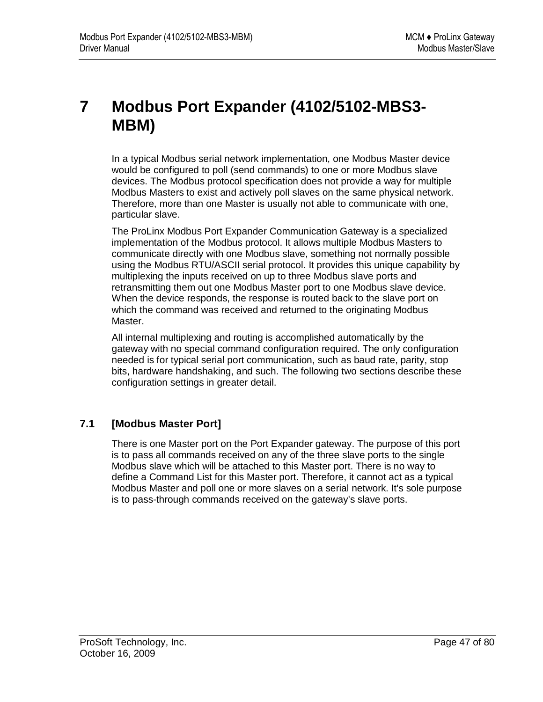# **7 Modbus Port Expander (4102/5102-MBS3- MBM)**

In a typical Modbus serial network implementation, one Modbus Master device would be configured to poll (send commands) to one or more Modbus slave devices. The Modbus protocol specification does not provide a way for multiple Modbus Masters to exist and actively poll slaves on the same physical network. Therefore, more than one Master is usually not able to communicate with one, particular slave.

The ProLinx Modbus Port Expander Communication Gateway is a specialized implementation of the Modbus protocol. It allows multiple Modbus Masters to communicate directly with one Modbus slave, something not normally possible using the Modbus RTU/ASCII serial protocol. It provides this unique capability by multiplexing the inputs received on up to three Modbus slave ports and retransmitting them out one Modbus Master port to one Modbus slave device. When the device responds, the response is routed back to the slave port on which the command was received and returned to the originating Modbus Master.

All internal multiplexing and routing is accomplished automatically by the gateway with no special command configuration required. The only configuration needed is for typical serial port communication, such as baud rate, parity, stop bits, hardware handshaking, and such. The following two sections describe these configuration settings in greater detail.

# **7.1 [Modbus Master Port]**

There is one Master port on the Port Expander gateway. The purpose of this port is to pass all commands received on any of the three slave ports to the single Modbus slave which will be attached to this Master port. There is no way to define a Command List for this Master port. Therefore, it cannot act as a typical Modbus Master and poll one or more slaves on a serial network. It's sole purpose is to pass-through commands received on the gateway's slave ports.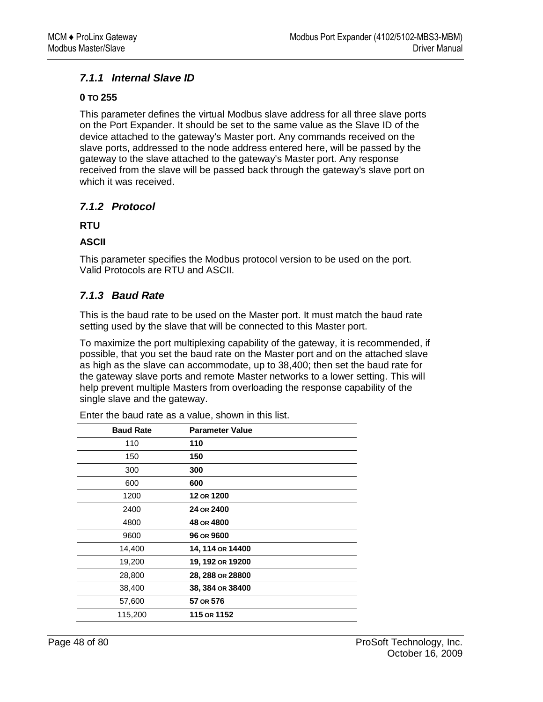## *7.1.1 Internal Slave ID*

### **0 TO 255**

This parameter defines the virtual Modbus slave address for all three slave ports on the Port Expander. It should be set to the same value as the Slave ID of the device attached to the gateway's Master port. Any commands received on the slave ports, addressed to the node address entered here, will be passed by the gateway to the slave attached to the gateway's Master port. Any response received from the slave will be passed back through the gateway's slave port on which it was received.

## *7.1.2 Protocol*

### **RTU**

## **ASCII**

This parameter specifies the Modbus protocol version to be used on the port. Valid Protocols are RTU and ASCII.

## *7.1.3 Baud Rate*

This is the baud rate to be used on the Master port. It must match the baud rate setting used by the slave that will be connected to this Master port.

To maximize the port multiplexing capability of the gateway, it is recommended, if possible, that you set the baud rate on the Master port and on the attached slave as high as the slave can accommodate, up to 38,400; then set the baud rate for the gateway slave ports and remote Master networks to a lower setting. This will help prevent multiple Masters from overloading the response capability of the single slave and the gateway.

| <b>Baud Rate</b> | <b>Parameter Value</b> |
|------------------|------------------------|
| 110              | 110                    |
| 150              | 150                    |
| 300              | 300                    |
| 600              | 600                    |
| 1200             | 12 OR 1200             |
| 2400             | 24 OR 2400             |
| 4800             | 48 OR 4800             |
| 9600             | 96 OR 9600             |
| 14,400           | 14, 114 OR 14400       |
| 19,200           | 19, 192 OR 19200       |
| 28,800           | 28, 288 OR 28800       |
| 38,400           | 38, 384 OR 38400       |
| 57,600           | 57 OR 576              |
| 115,200          | 115 OR 1152            |

Enter the baud rate as a value, shown in this list.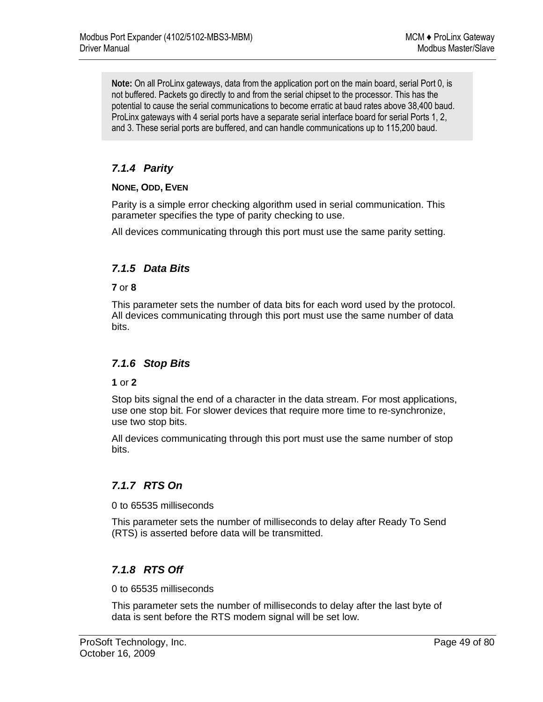**Note:** On all ProLinx gateways, data from the application port on the main board, serial Port 0, is not buffered. Packets go directly to and from the serial chipset to the processor. This has the potential to cause the serial communications to become erratic at baud rates above 38,400 baud. ProLinx gateways with 4 serial ports have a separate serial interface board for serial Ports 1, 2, and 3. These serial ports are buffered, and can handle communications up to 115,200 baud.

# *7.1.4 Parity*

#### **NONE, ODD, EVEN**

Parity is a simple error checking algorithm used in serial communication. This parameter specifies the type of parity checking to use.

All devices communicating through this port must use the same parity setting.

## *7.1.5 Data Bits*

#### **7** or **8**

This parameter sets the number of data bits for each word used by the protocol. All devices communicating through this port must use the same number of data bits.

## *7.1.6 Stop Bits*

#### **1** or **2**

Stop bits signal the end of a character in the data stream. For most applications, use one stop bit. For slower devices that require more time to re-synchronize, use two stop bits.

All devices communicating through this port must use the same number of stop bits.

## *7.1.7 RTS On*

0 to 65535 milliseconds

This parameter sets the number of milliseconds to delay after Ready To Send (RTS) is asserted before data will be transmitted.

## *7.1.8 RTS Off*

0 to 65535 milliseconds

This parameter sets the number of milliseconds to delay after the last byte of data is sent before the RTS modem signal will be set low.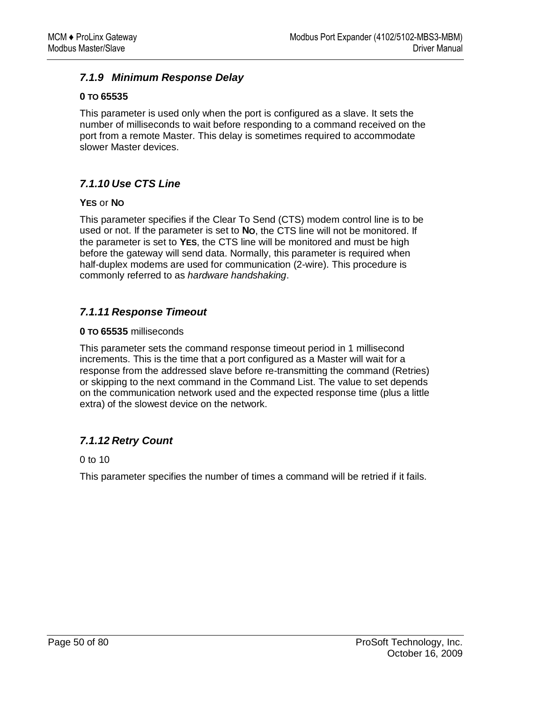## *7.1.9 Minimum Response Delay*

#### **0 TO 65535**

This parameter is used only when the port is configured as a slave. It sets the number of milliseconds to wait before responding to a command received on the port from a remote Master. This delay is sometimes required to accommodate slower Master devices.

## *7.1.10 Use CTS Line*

#### **YES** or **NO**

This parameter specifies if the Clear To Send (CTS) modem control line is to be used or not. If the parameter is set to **NO**, the CTS line will not be monitored. If the parameter is set to **YES**, the CTS line will be monitored and must be high before the gateway will send data. Normally, this parameter is required when half-duplex modems are used for communication (2-wire). This procedure is commonly referred to as *hardware handshaking*.

## *7.1.11 Response Timeout*

#### **0 TO 65535** milliseconds

This parameter sets the command response timeout period in 1 millisecond increments. This is the time that a port configured as a Master will wait for a response from the addressed slave before re-transmitting the command (Retries) or skipping to the next command in the Command List. The value to set depends on the communication network used and the expected response time (plus a little extra) of the slowest device on the network.

## *7.1.12 Retry Count*

0 to 10

This parameter specifies the number of times a command will be retried if it fails.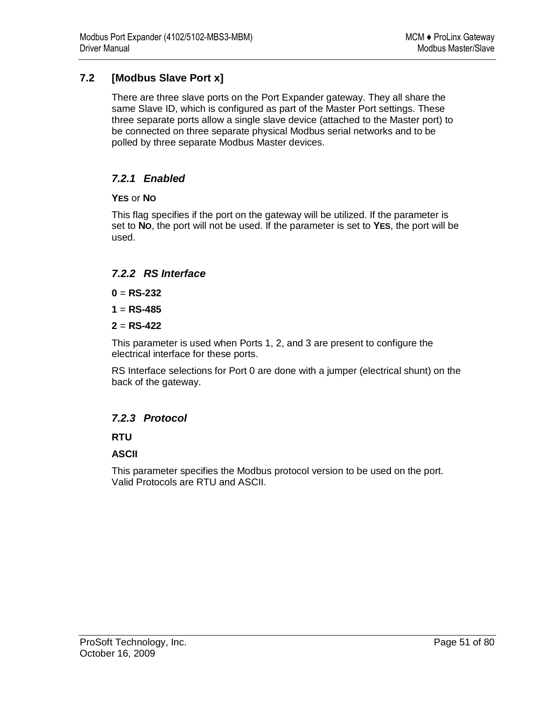# **7.2 [Modbus Slave Port x]**

There are three slave ports on the Port Expander gateway. They all share the same Slave ID, which is configured as part of the Master Port settings. These three separate ports allow a single slave device (attached to the Master port) to be connected on three separate physical Modbus serial networks and to be polled by three separate Modbus Master devices.

## *7.2.1 Enabled*

### **YES** or **NO**

This flag specifies if the port on the gateway will be utilized. If the parameter is set to **NO**, the port will not be used. If the parameter is set to **YES**, the port will be used.

## *7.2.2 RS Interface*

 $0 = RS-232$ 

 $1 = RS-485$ 

**2** = **RS-422**

This parameter is used when Ports 1, 2, and 3 are present to configure the electrical interface for these ports.

RS Interface selections for Port 0 are done with a jumper (electrical shunt) on the back of the gateway.

## *7.2.3 Protocol*

## **RTU**

## **ASCII**

This parameter specifies the Modbus protocol version to be used on the port. Valid Protocols are RTU and ASCII.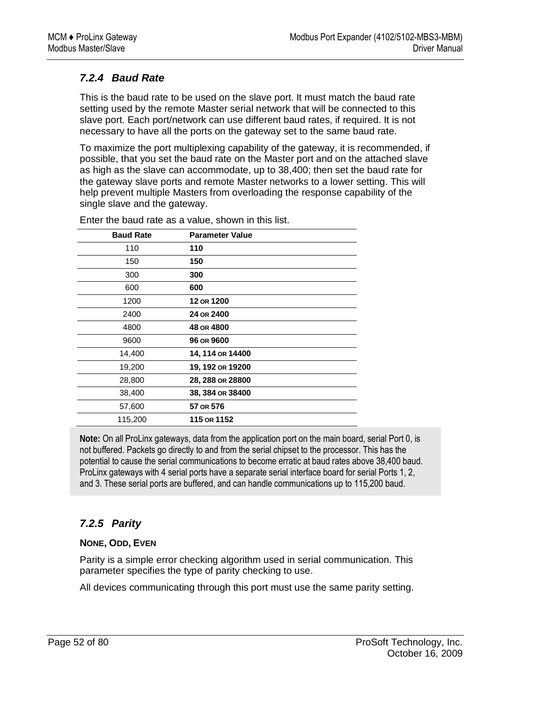# *7.2.4 Baud Rate*

This is the baud rate to be used on the slave port. It must match the baud rate setting used by the remote Master serial network that will be connected to this slave port. Each port/network can use different baud rates, if required. It is not necessary to have all the ports on the gateway set to the same baud rate.

To maximize the port multiplexing capability of the gateway, it is recommended, if possible, that you set the baud rate on the Master port and on the attached slave as high as the slave can accommodate, up to 38,400; then set the baud rate for the gateway slave ports and remote Master networks to a lower setting. This will help prevent multiple Masters from overloading the response capability of the single slave and the gateway.

| <b>Baud Rate</b> | <b>Parameter Value</b> |
|------------------|------------------------|
| 110              | 110                    |
| 150              | 150                    |
| 300              | 300                    |
| 600              | 600                    |
| 1200             | 12 OR 1200             |
| 2400             | 24 OR 2400             |
| 4800             | 48 OR 4800             |
| 9600             | 96 OR 9600             |
| 14,400           | 14, 114 or 14400       |
| 19,200           | 19, 192 or 19200       |
| 28,800           | 28, 288 OR 28800       |
| 38,400           | 38, 384 OR 38400       |
| 57,600           | 57 OR 576              |
| 115,200          | 115 or 1152            |

Enter the baud rate as a value, shown in this list.

**Note:** On all ProLinx gateways, data from the application port on the main board, serial Port 0, is not buffered. Packets go directly to and from the serial chipset to the processor. This has the potential to cause the serial communications to become erratic at baud rates above 38,400 baud. ProLinx gateways with 4 serial ports have a separate serial interface board for serial Ports 1, 2, and 3. These serial ports are buffered, and can handle communications up to 115,200 baud.

## *7.2.5 Parity*

## **NONE, ODD, EVEN**

Parity is a simple error checking algorithm used in serial communication. This parameter specifies the type of parity checking to use.

All devices communicating through this port must use the same parity setting.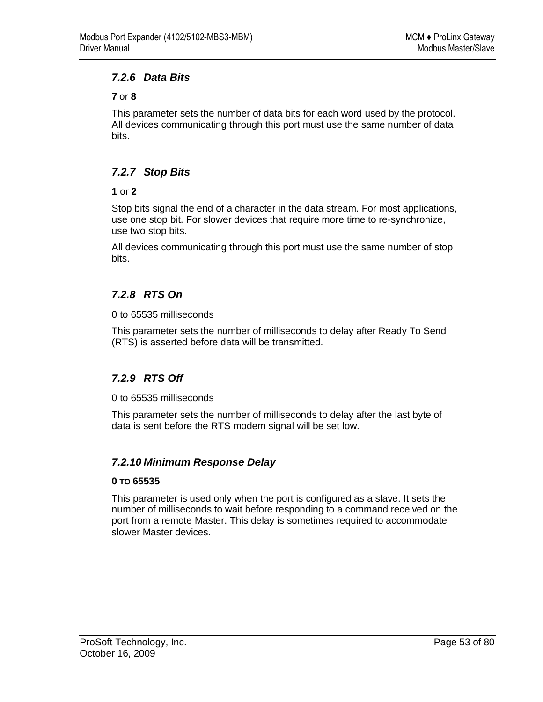## *7.2.6 Data Bits*

### **7** or **8**

This parameter sets the number of data bits for each word used by the protocol. All devices communicating through this port must use the same number of data bits.

## *7.2.7 Stop Bits*

### **1** or **2**

Stop bits signal the end of a character in the data stream. For most applications, use one stop bit. For slower devices that require more time to re-synchronize, use two stop bits.

All devices communicating through this port must use the same number of stop bits.

# *7.2.8 RTS On*

0 to 65535 milliseconds

This parameter sets the number of milliseconds to delay after Ready To Send (RTS) is asserted before data will be transmitted.

## *7.2.9 RTS Off*

0 to 65535 milliseconds

This parameter sets the number of milliseconds to delay after the last byte of data is sent before the RTS modem signal will be set low.

## *7.2.10 Minimum Response Delay*

#### **0 TO 65535**

This parameter is used only when the port is configured as a slave. It sets the number of milliseconds to wait before responding to a command received on the port from a remote Master. This delay is sometimes required to accommodate slower Master devices.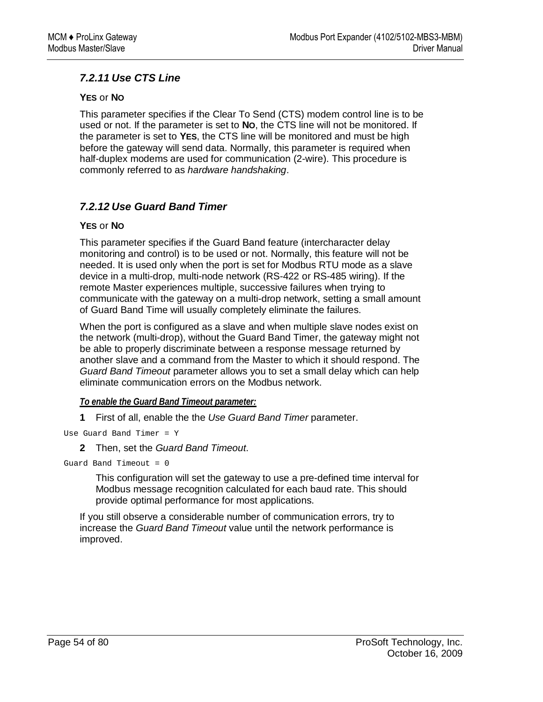## *7.2.11 Use CTS Line*

### **YES** or **NO**

This parameter specifies if the Clear To Send (CTS) modem control line is to be used or not. If the parameter is set to **NO**, the CTS line will not be monitored. If the parameter is set to **YES**, the CTS line will be monitored and must be high before the gateway will send data. Normally, this parameter is required when half-duplex modems are used for communication (2-wire). This procedure is commonly referred to as *hardware handshaking*.

# *7.2.12 Use Guard Band Timer*

### **YES** or **NO**

This parameter specifies if the Guard Band feature (intercharacter delay monitoring and control) is to be used or not. Normally, this feature will not be needed. It is used only when the port is set for Modbus RTU mode as a slave device in a multi-drop, multi-node network (RS-422 or RS-485 wiring). If the remote Master experiences multiple, successive failures when trying to communicate with the gateway on a multi-drop network, setting a small amount of Guard Band Time will usually completely eliminate the failures.

When the port is configured as a slave and when multiple slave nodes exist on the network (multi-drop), without the Guard Band Timer, the gateway might not be able to properly discriminate between a response message returned by another slave and a command from the Master to which it should respond. The *Guard Band Timeout* parameter allows you to set a small delay which can help eliminate communication errors on the Modbus network.

## *To enable the Guard Band Timeout parameter:*

**1** First of all, enable the the *Use Guard Band Timer* parameter.

Use Guard Band Timer = Y

**2** Then, set the *Guard Band Timeout*.

```
Guard Band Timeout = 0
```
This configuration will set the gateway to use a pre-defined time interval for Modbus message recognition calculated for each baud rate. This should provide optimal performance for most applications.

If you still observe a considerable number of communication errors, try to increase the *Guard Band Timeout* value until the network performance is improved.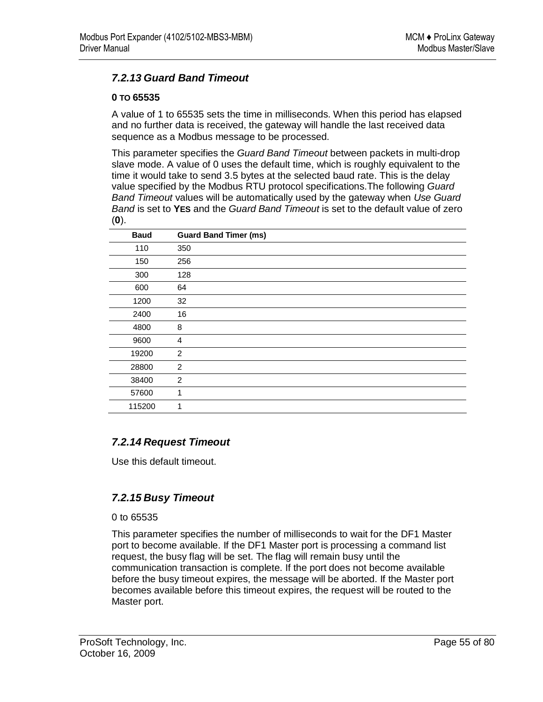## *7.2.13 Guard Band Timeout*

#### **0 TO 65535**

A value of 1 to 65535 sets the time in milliseconds. When this period has elapsed and no further data is received, the gateway will handle the last received data sequence as a Modbus message to be processed.

This parameter specifies the *Guard Band Timeout* between packets in multi-drop slave mode. A value of 0 uses the default time, which is roughly equivalent to the time it would take to send 3.5 bytes at the selected baud rate. This is the delay value specified by the Modbus RTU protocol specifications.The following *Guard Band Timeout* values will be automatically used by the gateway when *Use Guard Band* is set to **YES** and the *Guard Band Timeout* is set to the default value of zero (**0**).

| <b>Baud</b> | <b>Guard Band Timer (ms)</b> |
|-------------|------------------------------|
| 110         | 350                          |
| 150         | 256                          |
| 300         | 128                          |
| 600         | 64                           |
| 1200        | 32                           |
| 2400        | 16                           |
| 4800        | 8                            |
| 9600        | 4                            |
| 19200       | 2                            |
| 28800       | 2                            |
| 38400       | $\overline{c}$               |
| 57600       | 1                            |
| 115200      | 1                            |

## *7.2.14 Request Timeout*

Use this default timeout.

## *7.2.15 Busy Timeout*

0 to 65535

This parameter specifies the number of milliseconds to wait for the DF1 Master port to become available. If the DF1 Master port is processing a command list request, the busy flag will be set. The flag will remain busy until the communication transaction is complete. If the port does not become available before the busy timeout expires, the message will be aborted. If the Master port becomes available before this timeout expires, the request will be routed to the Master port.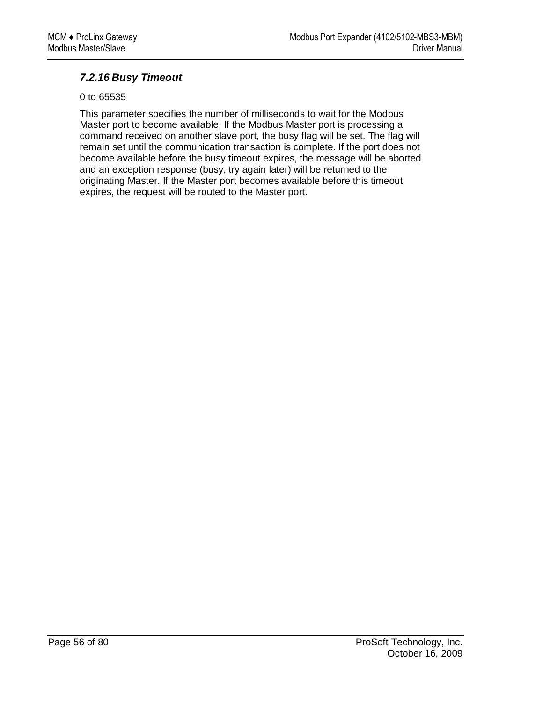## *7.2.16 Busy Timeout*

#### 0 to 65535

This parameter specifies the number of milliseconds to wait for the Modbus Master port to become available. If the Modbus Master port is processing a command received on another slave port, the busy flag will be set. The flag will remain set until the communication transaction is complete. If the port does not become available before the busy timeout expires, the message will be aborted and an exception response (busy, try again later) will be returned to the originating Master. If the Master port becomes available before this timeout expires, the request will be routed to the Master port.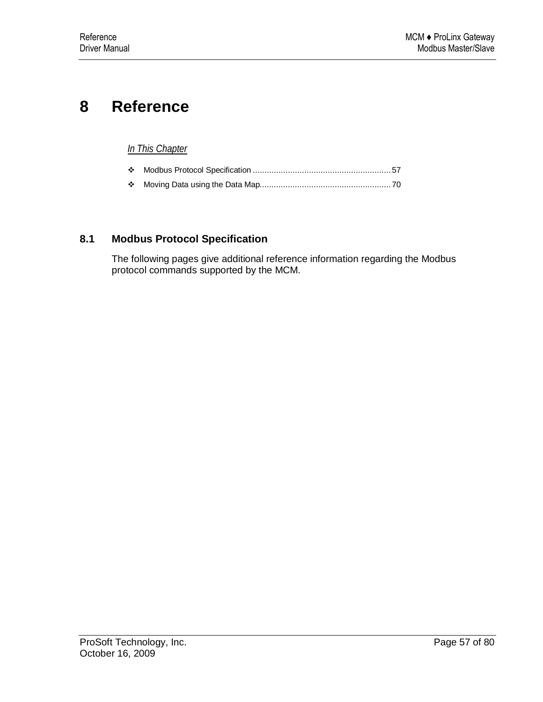# **8 Reference**

## *In This Chapter*

|--|--|--|

Moving Data using the Data Map........................................................ 70

## **8.1 Modbus Protocol Specification**

The following pages give additional reference information regarding the Modbus protocol commands supported by the MCM.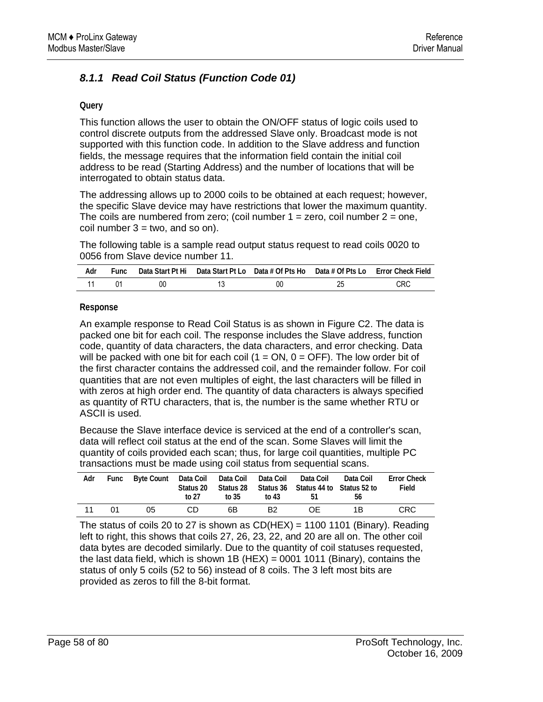# *8.1.1 Read Coil Status (Function Code 01)*

#### **Query**

This function allows the user to obtain the ON/OFF status of logic coils used to control discrete outputs from the addressed Slave only. Broadcast mode is not supported with this function code. In addition to the Slave address and function fields, the message requires that the information field contain the initial coil address to be read (Starting Address) and the number of locations that will be interrogated to obtain status data.

The addressing allows up to 2000 coils to be obtained at each request; however, the specific Slave device may have restrictions that lower the maximum quantity. The coils are numbered from zero; (coil number  $1 =$  zero, coil number  $2 =$  one, coil number  $3 = two$ , and so on).

The following table is a sample read output status request to read coils 0020 to 0056 from Slave device number 11.

| Adr | Func |    |    | Data Start Pt Hi Data Start Pt Lo Data # Of Pts Ho Data # Of Pts Lo Error Check Field |
|-----|------|----|----|---------------------------------------------------------------------------------------|
|     |      | 00 | 00 | CRC                                                                                   |

#### **Response**

An example response to Read Coil Status is as shown in Figure C2. The data is packed one bit for each coil. The response includes the Slave address, function code, quantity of data characters, the data characters, and error checking. Data will be packed with one bit for each coil  $(1 = ON, 0 = OFF)$ . The low order bit of the first character contains the addressed coil, and the remainder follow. For coil quantities that are not even multiples of eight, the last characters will be filled in with zeros at high order end. The quantity of data characters is always specified as quantity of RTU characters, that is, the number is the same whether RTU or ASCII is used.

Because the Slave interface device is serviced at the end of a controller's scan, data will reflect coil status at the end of the scan. Some Slaves will limit the quantity of coils provided each scan; thus, for large coil quantities, multiple PC transactions must be made using coil status from sequential scans.

| Adr |     | Func Byte Count Data Coil Data Coil Data Coil Data Coil | Status 20<br>to 27 | to 35 | to 43          | Status 28 Status 36 Status 44 to Status 52 to<br>-51 | Data Coil<br>.56 | <b>Error Check</b><br>Field |
|-----|-----|---------------------------------------------------------|--------------------|-------|----------------|------------------------------------------------------|------------------|-----------------------------|
| -11 | O1. | 05                                                      | CD.                | 6B    | B <sub>2</sub> | 0E.                                                  | 1 R              | <b>CRC</b>                  |

The status of coils 20 to 27 is shown as  $CD(HEX) = 1100 1101$  (Binary). Reading left to right, this shows that coils 27, 26, 23, 22, and 20 are all on. The other coil data bytes are decoded similarly. Due to the quantity of coil statuses requested, the last data field, which is shown 1B (HEX) = 0001 1011 (Binary), contains the status of only 5 coils (52 to 56) instead of 8 coils. The 3 left most bits are provided as zeros to fill the 8-bit format.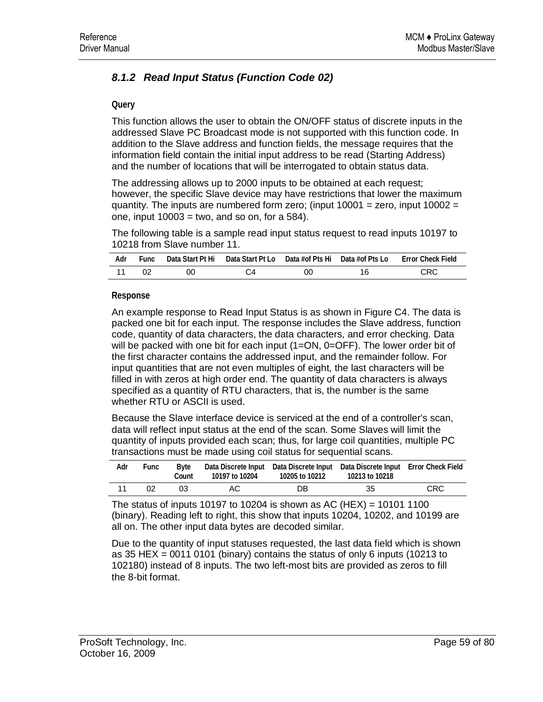# *8.1.2 Read Input Status (Function Code 02)*

#### **Query**

This function allows the user to obtain the ON/OFF status of discrete inputs in the addressed Slave PC Broadcast mode is not supported with this function code. In addition to the Slave address and function fields, the message requires that the information field contain the initial input address to be read (Starting Address) and the number of locations that will be interrogated to obtain status data.

The addressing allows up to 2000 inputs to be obtained at each request; however, the specific Slave device may have restrictions that lower the maximum quantity. The inputs are numbered form zero; (input  $10001$  = zero, input  $10002$  = one, input  $10003 =$  two, and so on, for a 584).

The following table is a sample read input status request to read inputs 10197 to 10218 from Slave number 11.

| Adr | <b>Func</b> |    | Data Start Pt Hi Data Start Pt Lo Data #of Pts Hi Data #of Pts Lo |    |    | Error Check Field |
|-----|-------------|----|-------------------------------------------------------------------|----|----|-------------------|
|     |             | OΟ |                                                                   | 00 | 16 | <b>CRC</b>        |

#### **Response**

An example response to Read Input Status is as shown in Figure C4. The data is packed one bit for each input. The response includes the Slave address, function code, quantity of data characters, the data characters, and error checking. Data will be packed with one bit for each input (1=ON, 0=OFF). The lower order bit of the first character contains the addressed input, and the remainder follow. For input quantities that are not even multiples of eight, the last characters will be filled in with zeros at high order end. The quantity of data characters is always specified as a quantity of RTU characters, that is, the number is the same whether RTU or ASCII is used.

Because the Slave interface device is serviced at the end of a controller's scan, data will reflect input status at the end of the scan. Some Slaves will limit the quantity of inputs provided each scan; thus, for large coil quantities, multiple PC transactions must be made using coil status for sequential scans.

| Adr | Func | Bvte<br>Count | 10197 to 10204 | 10205 to 10212 | Data Discrete Input Data Discrete Input Data Discrete Input Error Check Field<br>10213 to 10218 |      |
|-----|------|---------------|----------------|----------------|-------------------------------------------------------------------------------------------------|------|
| 11  | 02   | 03            | AC.            | DB             | 35                                                                                              | CRC. |

The status of inputs 10197 to 10204 is shown as AC (HEX) = 10101 1100 (binary). Reading left to right, this show that inputs 10204, 10202, and 10199 are all on. The other input data bytes are decoded similar.

Due to the quantity of input statuses requested, the last data field which is shown as 35 HEX = 0011 0101 (binary) contains the status of only 6 inputs (10213 to 102180) instead of 8 inputs. The two left-most bits are provided as zeros to fill the 8-bit format.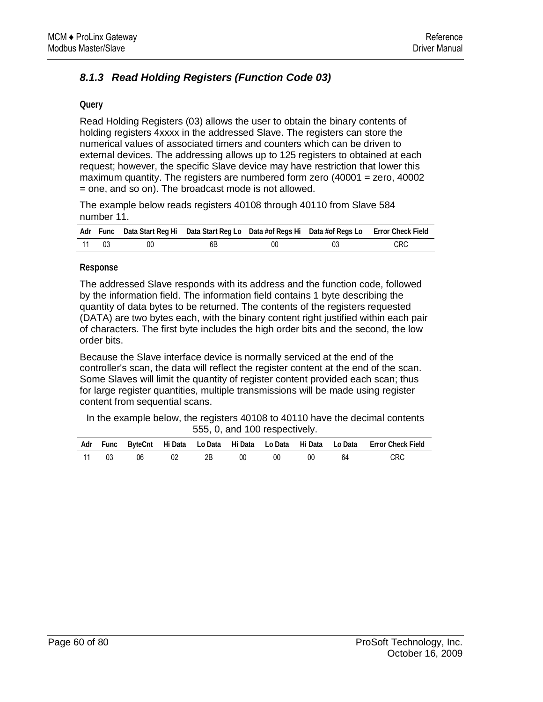# *8.1.3 Read Holding Registers (Function Code 03)*

#### **Query**

Read Holding Registers (03) allows the user to obtain the binary contents of holding registers 4xxxx in the addressed Slave. The registers can store the numerical values of associated timers and counters which can be driven to external devices. The addressing allows up to 125 registers to obtained at each request; however, the specific Slave device may have restriction that lower this maximum quantity. The registers are numbered form zero (40001 = zero, 40002 = one, and so on). The broadcast mode is not allowed.

The example below reads registers 40108 through 40110 from Slave 584 number 11.

|       |    | Adr Func Data Start Reg Hi Data Start Reg Lo Data #of Regs Hi Data #of Regs Lo Error Check Field |    |     |
|-------|----|--------------------------------------------------------------------------------------------------|----|-----|
| 11 03 | 00 | 6Β                                                                                               | 00 | CRC |

#### **Response**

The addressed Slave responds with its address and the function code, followed by the information field. The information field contains 1 byte describing the quantity of data bytes to be returned. The contents of the registers requested (DATA) are two bytes each, with the binary content right justified within each pair of characters. The first byte includes the high order bits and the second, the low order bits.

Because the Slave interface device is normally serviced at the end of the controller's scan, the data will reflect the register content at the end of the scan. Some Slaves will limit the quantity of register content provided each scan; thus for large register quantities, multiple transmissions will be made using register content from sequential scans.

In the example below, the registers 40108 to 40110 have the decimal contents 555, 0, and 100 respectively.

|    | Adr Func |    |    |    |    |    |    | ByteCnt Hi Data Lo Data Hi Data Lo Data Hi Data Lo Data Error Check Field |
|----|----------|----|----|----|----|----|----|---------------------------------------------------------------------------|
| 11 | 03       | 06 | 2B | 00 | 00 | 00 | 64 | CRC                                                                       |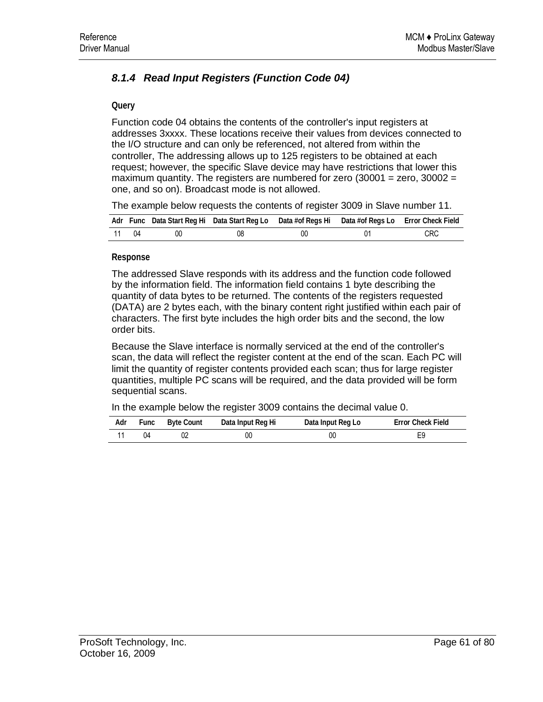# *8.1.4 Read Input Registers (Function Code 04)*

#### **Query**

Function code 04 obtains the contents of the controller's input registers at addresses 3xxxx. These locations receive their values from devices connected to the I/O structure and can only be referenced, not altered from within the controller, The addressing allows up to 125 registers to be obtained at each request; however, the specific Slave device may have restrictions that lower this maximum quantity. The registers are numbered for zero  $(30001 =$  zero,  $30002 =$ one, and so on). Broadcast mode is not allowed.

The example below requests the contents of register 3009 in Slave number 11.

|       |    | Adr Func Data Start Reg Hi Data Start Reg Lo Data #of Regs Hi Data #of Regs Lo Error Check Field |    |            |
|-------|----|--------------------------------------------------------------------------------------------------|----|------------|
| 11 04 | 00 | 08                                                                                               | 00 | <b>CRC</b> |

#### **Response**

The addressed Slave responds with its address and the function code followed by the information field. The information field contains 1 byte describing the quantity of data bytes to be returned. The contents of the registers requested (DATA) are 2 bytes each, with the binary content right justified within each pair of characters. The first byte includes the high order bits and the second, the low order bits.

Because the Slave interface is normally serviced at the end of the controller's scan, the data will reflect the register content at the end of the scan. Each PC will limit the quantity of register contents provided each scan; thus for large register quantities, multiple PC scans will be required, and the data provided will be form sequential scans.

In the example below the register 3009 contains the decimal value 0.

| Adr | Func | Byte Count | Data Input Reg Hi | Data Input Reg Lo | <b>Error Check Field</b> |
|-----|------|------------|-------------------|-------------------|--------------------------|
|     |      |            | 00                | 00                |                          |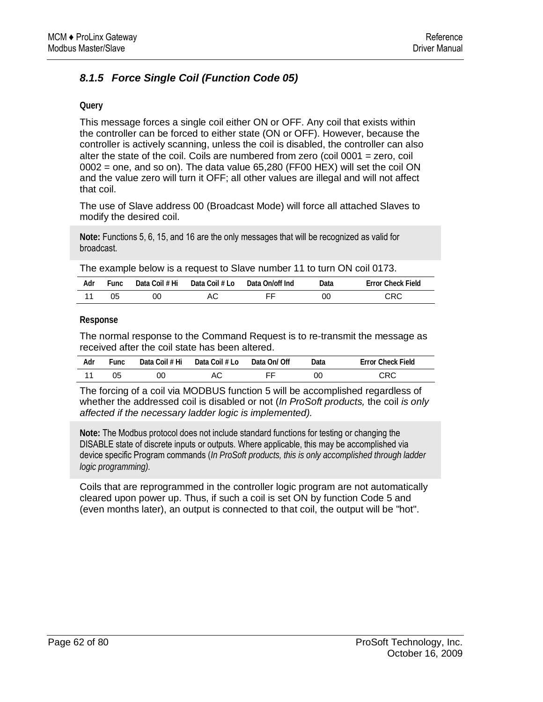# *8.1.5 Force Single Coil (Function Code 05)*

#### **Query**

This message forces a single coil either ON or OFF. Any coil that exists within the controller can be forced to either state (ON or OFF). However, because the controller is actively scanning, unless the coil is disabled, the controller can also alter the state of the coil. Coils are numbered from zero (coil 0001 = zero, coil  $0002$  = one, and so on). The data value 65,280 (FF00 HEX) will set the coil ON and the value zero will turn it OFF; all other values are illegal and will not affect that coil.

The use of Slave address 00 (Broadcast Mode) will force all attached Slaves to modify the desired coil.

**Note:** Functions 5, 6, 15, and 16 are the only messages that will be recognized as valid for broadcast.

The example below is a request to Slave number 11 to turn ON coil 0173.

| Adr | Func | Data Coil # Hi | Data Coil # Lo | Data On/off Ind | Data | <b>Error Check Field</b> |
|-----|------|----------------|----------------|-----------------|------|--------------------------|
|     | 05   | 0C             | АC             | ᄄ               | 0C   | CRC                      |

#### **Response**

The normal response to the Command Request is to re-transmit the message as received after the coil state has been altered.

| Adr | ™unc | Data Coil # Hi | Data Coil # Lo | Data On/ Off | Data | <b>Error Check Field</b> |
|-----|------|----------------|----------------|--------------|------|--------------------------|
|     | 05   | 00             | AС             | ᄄ            | OC   | CRC                      |

The forcing of a coil via MODBUS function 5 will be accomplished regardless of whether the addressed coil is disabled or not (*In ProSoft products,* the coil *is only affected if the necessary ladder logic is implemented).*

**Note:** The Modbus protocol does not include standard functions for testing or changing the DISABLE state of discrete inputs or outputs. Where applicable, this may be accomplished via device specific Program commands (*In ProSoft products, this is only accomplished through ladder logic programming).*

Coils that are reprogrammed in the controller logic program are not automatically cleared upon power up. Thus, if such a coil is set ON by function Code 5 and (even months later), an output is connected to that coil, the output will be "hot".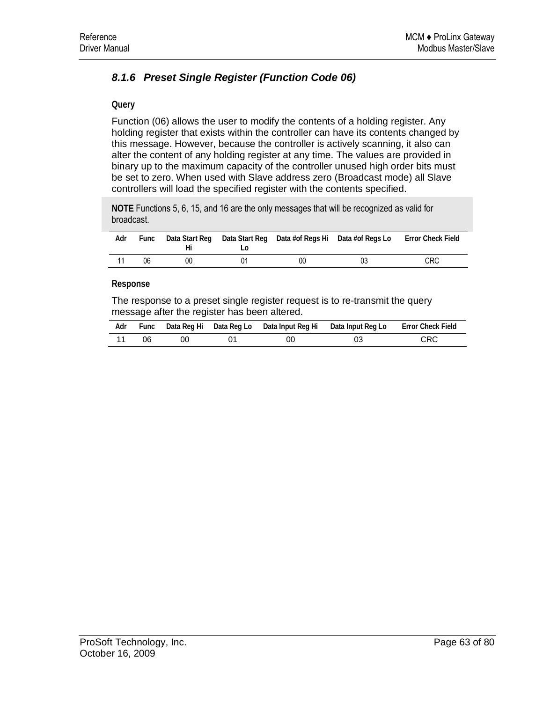# *8.1.6 Preset Single Register (Function Code 06)*

#### **Query**

Function (06) allows the user to modify the contents of a holding register. Any holding register that exists within the controller can have its contents changed by this message. However, because the controller is actively scanning, it also can alter the content of any holding register at any time. The values are provided in binary up to the maximum capacity of the controller unused high order bits must be set to zero. When used with Slave address zero (Broadcast mode) all Slave controllers will load the specified register with the contents specified.

**NOTE** Functions 5, 6, 15, and 16 are the only messages that will be recognized as valid for broadcast.

| Adr | Func |    |    | Data Start Reg Data Start Reg Data #of Regs Hi Data #of Regs Lo Error Check Field |            |
|-----|------|----|----|-----------------------------------------------------------------------------------|------------|
|     | 06   | 00 | OC | 03                                                                                | <b>CRC</b> |

#### **Response**

The response to a preset single register request is to re-transmit the query message after the register has been altered.

| Adr |    |    |    | Func Data Reg Hi Data Reg Lo Data Input Reg Hi Data Input Reg Lo Error Check Field |            |
|-----|----|----|----|------------------------------------------------------------------------------------|------------|
|     | റഭ | 00 | ОC |                                                                                    | <b>CRC</b> |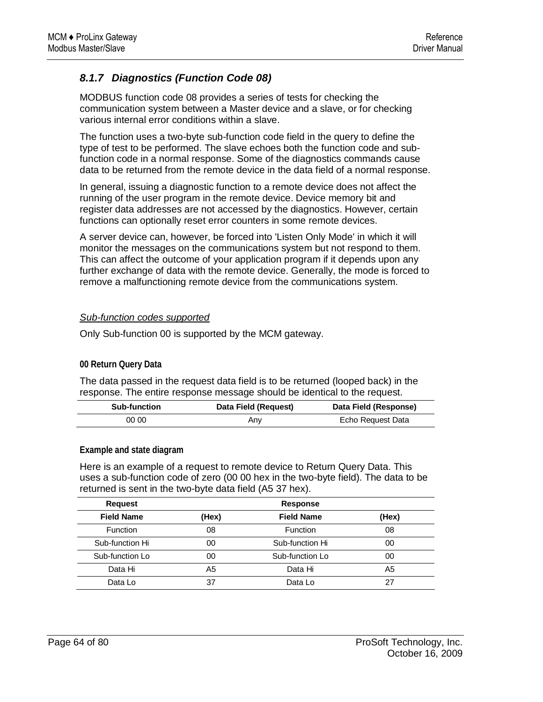## *8.1.7 Diagnostics (Function Code 08)*

MODBUS function code 08 provides a series of tests for checking the communication system between a Master device and a slave, or for checking various internal error conditions within a slave.

The function uses a two-byte sub-function code field in the query to define the type of test to be performed. The slave echoes both the function code and subfunction code in a normal response. Some of the diagnostics commands cause data to be returned from the remote device in the data field of a normal response.

In general, issuing a diagnostic function to a remote device does not affect the running of the user program in the remote device. Device memory bit and register data addresses are not accessed by the diagnostics. However, certain functions can optionally reset error counters in some remote devices.

A server device can, however, be forced into 'Listen Only Mode' in which it will monitor the messages on the communications system but not respond to them. This can affect the outcome of your application program if it depends upon any further exchange of data with the remote device. Generally, the mode is forced to remove a malfunctioning remote device from the communications system.

### *Sub-function codes supported*

Only Sub-function 00 is supported by the MCM gateway.

#### **00 Return Query Data**

The data passed in the request data field is to be returned (looped back) in the response. The entire response message should be identical to the request.

| <b>Sub-function</b> | Data Field (Request) | Data Field (Response) |
|---------------------|----------------------|-----------------------|
| 00 00               | Any                  | Echo Request Data     |

#### **Example and state diagram**

Here is an example of a request to remote device to Return Query Data. This uses a sub-function code of zero (00 00 hex in the two-byte field). The data to be returned is sent in the two-byte data field (A5 37 hex).

| <b>Request</b>    | <b>Response</b> |                   |       |  |  |  |  |
|-------------------|-----------------|-------------------|-------|--|--|--|--|
| <b>Field Name</b> | (Hex)           | <b>Field Name</b> | (Hex) |  |  |  |  |
| Function          | 08              | <b>Function</b>   | 08    |  |  |  |  |
| Sub-function Hi   | 00              | Sub-function Hi   | 00    |  |  |  |  |
| Sub-function Lo   | 00              | Sub-function Lo   | 00    |  |  |  |  |
| Data Hi           | A5              | Data Hi           | A5    |  |  |  |  |
| Data Lo           | 37              | Data Lo           | 27    |  |  |  |  |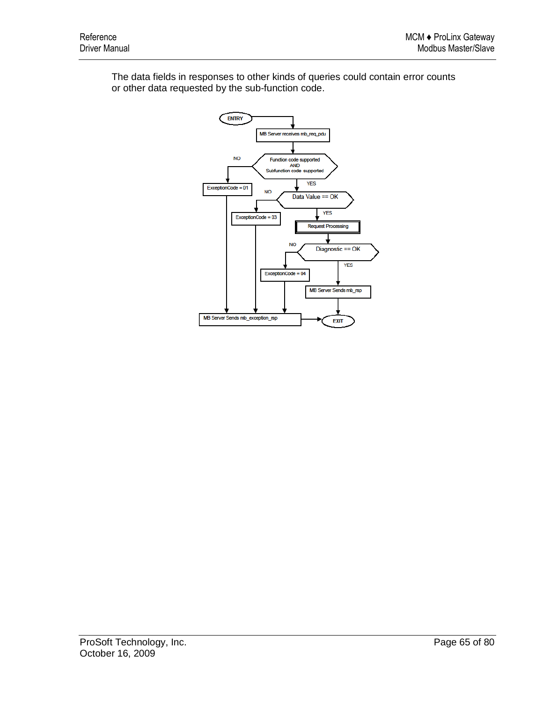The data fields in responses to other kinds of queries could contain error counts or other data requested by the sub-function code.

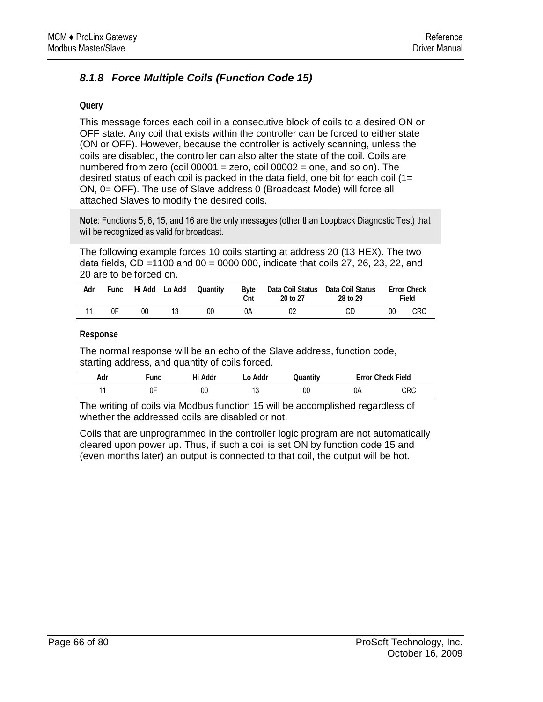# *8.1.8 Force Multiple Coils (Function Code 15)*

#### **Query**

This message forces each coil in a consecutive block of coils to a desired ON or OFF state. Any coil that exists within the controller can be forced to either state (ON or OFF). However, because the controller is actively scanning, unless the coils are disabled, the controller can also alter the state of the coil. Coils are numbered from zero (coil  $00001$  = zero, coil  $00002$  = one, and so on). The desired status of each coil is packed in the data field, one bit for each coil  $(1=$ ON, 0= OFF). The use of Slave address 0 (Broadcast Mode) will force all attached Slaves to modify the desired coils.

**Note**: Functions 5, 6, 15, and 16 are the only messages (other than Loopback Diagnostic Test) that will be recognized as valid for broadcast.

The following example forces 10 coils starting at address 20 (13 HEX). The two data fields,  $CD = 1100$  and  $00 = 0000$  000, indicate that coils 27, 26, 23, 22, and 20 are to be forced on.

| Adr | Func |    | Hi Add Lo Add | Quantity | Byte<br>Cnt | Data Coil Status Data Coil Status<br>20 to 27 | 28 to 29 |    | <b>Error Check</b><br>Field |
|-----|------|----|---------------|----------|-------------|-----------------------------------------------|----------|----|-----------------------------|
|     | 0F   | 00 |               | 00       | 0A          | 02                                            | CD       | 00 | <b>CRC</b>                  |

**Response** 

The normal response will be an echo of the Slave address, function code, starting address, and quantity of coils forced.

| Adr | unc | Addr<br>Hi | Addr | )uantity | ≟rror | <b>Check Field</b> |
|-----|-----|------------|------|----------|-------|--------------------|
|     | 0Γ  | ОС         | יי   | 00       | 0A    | CRC                |

The writing of coils via Modbus function 15 will be accomplished regardless of whether the addressed coils are disabled or not.

Coils that are unprogrammed in the controller logic program are not automatically cleared upon power up. Thus, if such a coil is set ON by function code 15 and (even months later) an output is connected to that coil, the output will be hot.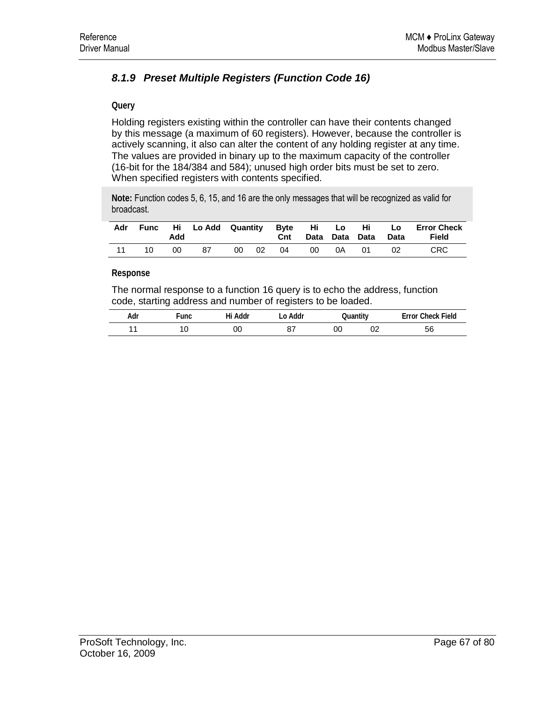# *8.1.9 Preset Multiple Registers (Function Code 16)*

#### **Query**

Holding registers existing within the controller can have their contents changed by this message (a maximum of 60 registers). However, because the controller is actively scanning, it also can alter the content of any holding register at any time. The values are provided in binary up to the maximum capacity of the controller (16-bit for the 184/384 and 584); unused high order bits must be set to zero. When specified registers with contents specified.

**Note:** Function codes 5, 6, 15, and 16 are the only messages that will be recognized as valid for broadcast.

| Adr | Func | Add | Hi LoAdd Quantity Byte Hi Lo Hi Lo |    |      | Cnt |     |    | Data Data Data | Data | <b>Error Check</b><br>Field |
|-----|------|-----|------------------------------------|----|------|-----|-----|----|----------------|------|-----------------------------|
|     | 10.  | 00  | 87                                 | 00 | - 02 | 04  | -00 | 0A | - 01           | -02  | CRC.                        |

**Response** 

The normal response to a function 16 query is to echo the address, function code, starting address and number of registers to be loaded.

| Adr | ∙̃unc | Hi Addr | .o Addr  | Quantity |    | <b>Error Check Field</b> |
|-----|-------|---------|----------|----------|----|--------------------------|
|     | u     | 00      | റ-<br>O. | OC       | ◡▵ | 56                       |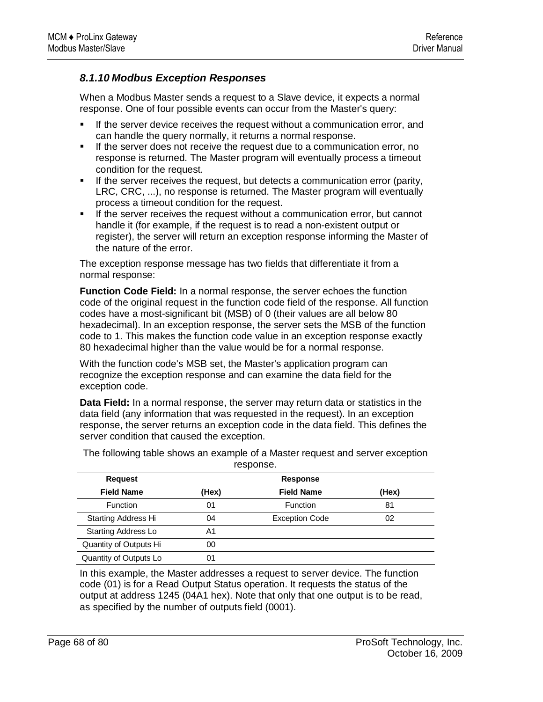## *8.1.10 Modbus Exception Responses*

When a Modbus Master sends a request to a Slave device, it expects a normal response. One of four possible events can occur from the Master's query:

- If the server device receives the request without a communication error, and can handle the query normally, it returns a normal response.
- **If the server does not receive the request due to a communication error, no** response is returned. The Master program will eventually process a timeout condition for the request.
- **If the server receives the request, but detects a communication error (parity,** LRC, CRC, ...), no response is returned. The Master program will eventually process a timeout condition for the request.
- **If the server receives the request without a communication error, but cannot** handle it (for example, if the request is to read a non-existent output or register), the server will return an exception response informing the Master of the nature of the error.

The exception response message has two fields that differentiate it from a normal response:

**Function Code Field:** In a normal response, the server echoes the function code of the original request in the function code field of the response. All function codes have a most-significant bit (MSB) of 0 (their values are all below 80 hexadecimal). In an exception response, the server sets the MSB of the function code to 1. This makes the function code value in an exception response exactly 80 hexadecimal higher than the value would be for a normal response.

With the function code's MSB set, the Master's application program can recognize the exception response and can examine the data field for the exception code.

**Data Field:** In a normal response, the server may return data or statistics in the data field (any information that was requested in the request). In an exception response, the server returns an exception code in the data field. This defines the server condition that caused the exception.

| <b>Request</b>             |       | <b>Response</b>       |       |  |  |  |  |
|----------------------------|-------|-----------------------|-------|--|--|--|--|
| <b>Field Name</b>          | (Hex) | <b>Field Name</b>     | (Hex) |  |  |  |  |
| <b>Function</b>            | 01    | Function              | 81    |  |  |  |  |
| <b>Starting Address Hi</b> | 04    | <b>Exception Code</b> | 02    |  |  |  |  |
| <b>Starting Address Lo</b> | A1    |                       |       |  |  |  |  |
| Quantity of Outputs Hi     | 00    |                       |       |  |  |  |  |
| Quantity of Outputs Lo     | 01    |                       |       |  |  |  |  |

The following table shows an example of a Master request and server exception response.

In this example, the Master addresses a request to server device. The function code (01) is for a Read Output Status operation. It requests the status of the output at address 1245 (04A1 hex). Note that only that one output is to be read, as specified by the number of outputs field (0001).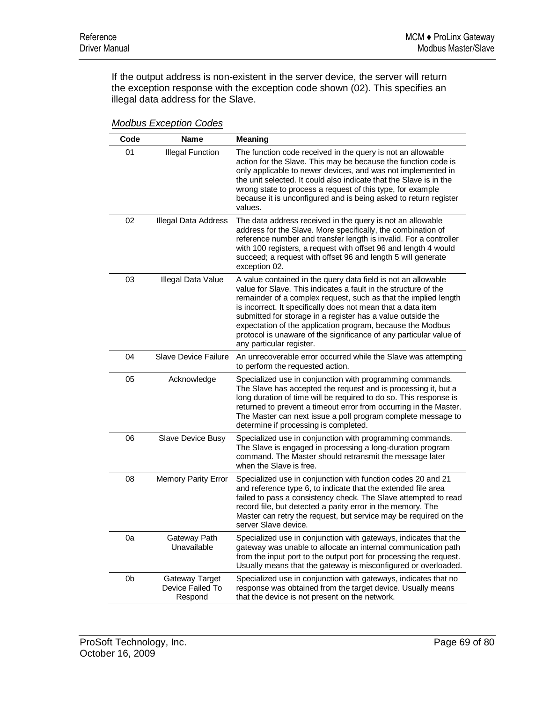If the output address is non-existent in the server device, the server will return the exception response with the exception code shown (02). This specifies an illegal data address for the Slave.

| Code | <b>Name</b>                                   | <b>Meaning</b>                                                                                                                                                                                                                                                                                                                                                                                                                                                                                     |
|------|-----------------------------------------------|----------------------------------------------------------------------------------------------------------------------------------------------------------------------------------------------------------------------------------------------------------------------------------------------------------------------------------------------------------------------------------------------------------------------------------------------------------------------------------------------------|
| 01   | <b>Illegal Function</b>                       | The function code received in the query is not an allowable<br>action for the Slave. This may be because the function code is<br>only applicable to newer devices, and was not implemented in<br>the unit selected. It could also indicate that the Slave is in the<br>wrong state to process a request of this type, for example<br>because it is unconfigured and is being asked to return register<br>values.                                                                                   |
| 02   | <b>Illegal Data Address</b>                   | The data address received in the query is not an allowable<br>address for the Slave. More specifically, the combination of<br>reference number and transfer length is invalid. For a controller<br>with 100 registers, a request with offset 96 and length 4 would<br>succeed; a request with offset 96 and length 5 will generate<br>exception 02.                                                                                                                                                |
| 03   | Illegal Data Value                            | A value contained in the query data field is not an allowable<br>value for Slave. This indicates a fault in the structure of the<br>remainder of a complex request, such as that the implied length<br>is incorrect. It specifically does not mean that a data item<br>submitted for storage in a register has a value outside the<br>expectation of the application program, because the Modbus<br>protocol is unaware of the significance of any particular value of<br>any particular register. |
| 04   | <b>Slave Device Failure</b>                   | An unrecoverable error occurred while the Slave was attempting<br>to perform the requested action.                                                                                                                                                                                                                                                                                                                                                                                                 |
| 05   | Acknowledge                                   | Specialized use in conjunction with programming commands.<br>The Slave has accepted the request and is processing it, but a<br>long duration of time will be required to do so. This response is<br>returned to prevent a timeout error from occurring in the Master.<br>The Master can next issue a poll program complete message to<br>determine if processing is completed.                                                                                                                     |
| 06   | Slave Device Busy                             | Specialized use in conjunction with programming commands.<br>The Slave is engaged in processing a long-duration program<br>command. The Master should retransmit the message later<br>when the Slave is free.                                                                                                                                                                                                                                                                                      |
| 08   | Memory Parity Error                           | Specialized use in conjunction with function codes 20 and 21<br>and reference type 6, to indicate that the extended file area<br>failed to pass a consistency check. The Slave attempted to read<br>record file, but detected a parity error in the memory. The<br>Master can retry the request, but service may be required on the<br>server Slave device.                                                                                                                                        |
| 0a   | Gateway Path<br>Unavailable                   | Specialized use in conjunction with gateways, indicates that the<br>gateway was unable to allocate an internal communication path<br>from the input port to the output port for processing the request.<br>Usually means that the gateway is misconfigured or overloaded.                                                                                                                                                                                                                          |
| 0b   | Gateway Target<br>Device Failed To<br>Respond | Specialized use in conjunction with gateways, indicates that no<br>response was obtained from the target device. Usually means<br>that the device is not present on the network.                                                                                                                                                                                                                                                                                                                   |

*Modbus Exception Codes*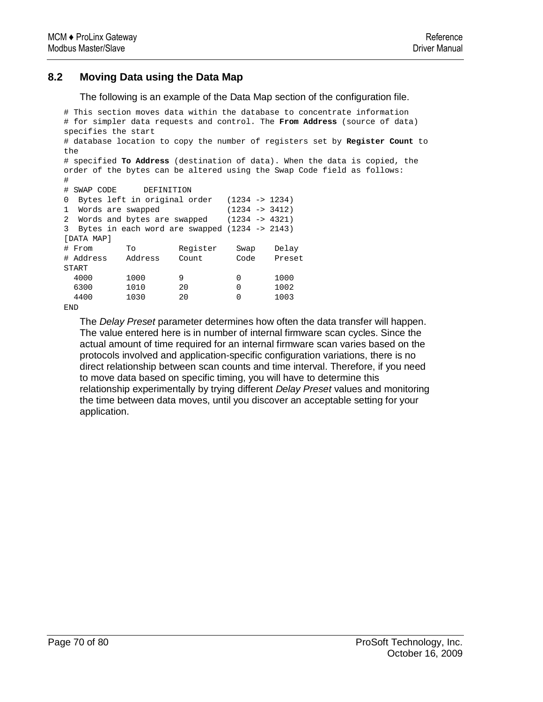## **8.2 Moving Data using the Data Map**

The following is an example of the Data Map section of the configuration file.

```
# This section moves data within the database to concentrate information 
# for simpler data requests and control. The From Address (source of data) 
specifies the start 
# database location to copy the number of registers set by Register Count to 
the 
# specified To Address (destination of data). When the data is copied, the 
order of the bytes can be altered using the Swap Code field as follows: 
# 
# SWAP CODE DEFINITION 
0 Bytes left in original order (1234 -> 1234) 
1 Words are swapped (1234 -> 3412) 
2 Words and bytes are swapped (1234 -> 4321) 
3 Bytes in each word are swapped (1234 -> 2143) 
[DATA MAP] 
# From To Register Swap Delay 
# Address Address Count Code Preset 
START 
 4000 1000 9 0 1000<br>6300 1010 20 0 1002
           6300 1010 20 0 1002 
  4400 1030 20 0 1003 
END
```
The *Delay Preset* parameter determines how often the data transfer will happen. The value entered here is in number of internal firmware scan cycles. Since the actual amount of time required for an internal firmware scan varies based on the protocols involved and application-specific configuration variations, there is no direct relationship between scan counts and time interval. Therefore, if you need to move data based on specific timing, you will have to determine this relationship experimentally by trying different *Delay Preset* values and monitoring the time between data moves, until you discover an acceptable setting for your application.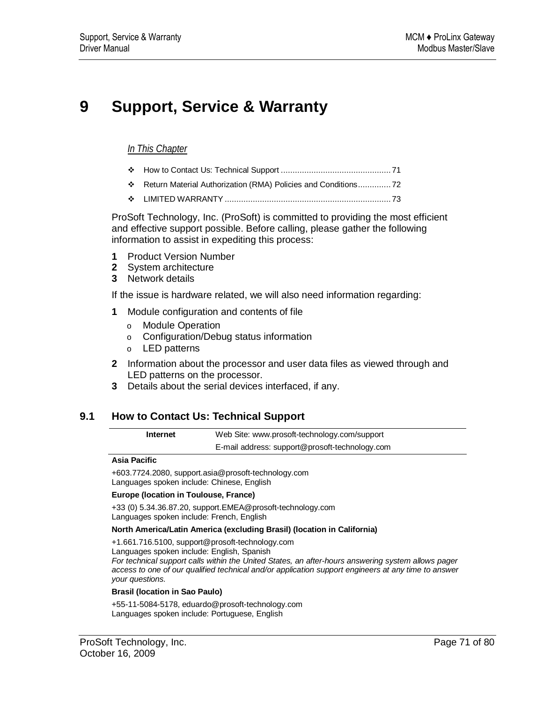# **9 Support, Service & Warranty**

### *In This Chapter*

- How to Contact Us: Technical Support ............................................... 71
- Return Material Authorization (RMA) Policies and Conditions.............. 72
- LIMITED WARRANTY ....................................................................... 73

ProSoft Technology, Inc. (ProSoft) is committed to providing the most efficient and effective support possible. Before calling, please gather the following information to assist in expediting this process:

- **1** Product Version Number
- **2** System architecture
- **3** Network details

If the issue is hardware related, we will also need information regarding:

- **1** Module configuration and contents of file
	- o Module Operation
	- o Configuration/Debug status information
	- o LED patterns
- **2** Information about the processor and user data files as viewed through and LED patterns on the processor.
- **3** Details about the serial devices interfaced, if any.

#### **9.1 How to Contact Us: Technical Support**

**Internet** Web Site: www.prosoft-technology.com/support E-mail address: support@prosoft-technology.com

#### **Asia Pacific**

+603.7724.2080, support.asia@prosoft-technology.com Languages spoken include: Chinese, English

#### **Europe (location in Toulouse, France)**

+33 (0) 5.34.36.87.20, support.EMEA@prosoft-technology.com Languages spoken include: French, English

#### **North America/Latin America (excluding Brasil) (location in California)**

+1.661.716.5100, support@prosoft-technology.com Languages spoken include: English, Spanish *For technical support calls within the United States, an after-hours answering system allows pager access to one of our qualified technical and/or application support engineers at any time to answer your questions.*

#### **Brasil (location in Sao Paulo)**

+55-11-5084-5178, eduardo@prosoft-technology.com Languages spoken include: Portuguese, English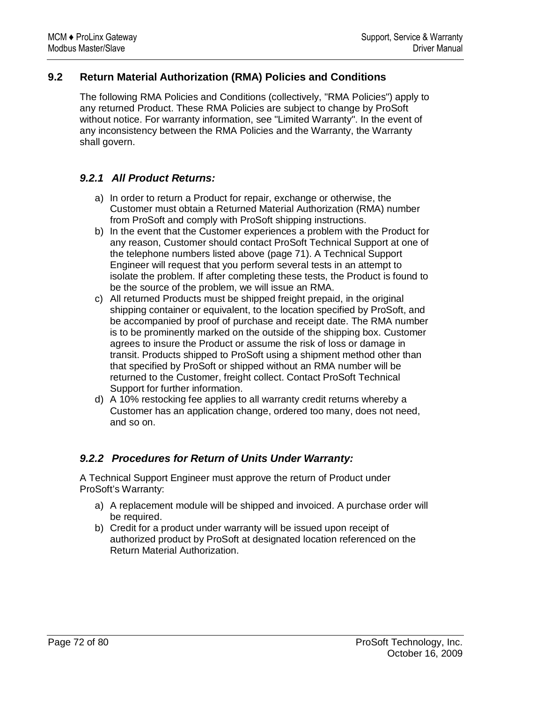## **9.2 Return Material Authorization (RMA) Policies and Conditions**

The following RMA Policies and Conditions (collectively, "RMA Policies") apply to any returned Product. These RMA Policies are subject to change by ProSoft without notice. For warranty information, see "Limited Warranty". In the event of any inconsistency between the RMA Policies and the Warranty, the Warranty shall govern.

## *9.2.1 All Product Returns:*

- a) In order to return a Product for repair, exchange or otherwise, the Customer must obtain a Returned Material Authorization (RMA) number from ProSoft and comply with ProSoft shipping instructions.
- b) In the event that the Customer experiences a problem with the Product for any reason, Customer should contact ProSoft Technical Support at one of the telephone numbers listed above (page 71). A Technical Support Engineer will request that you perform several tests in an attempt to isolate the problem. If after completing these tests, the Product is found to be the source of the problem, we will issue an RMA.
- c) All returned Products must be shipped freight prepaid, in the original shipping container or equivalent, to the location specified by ProSoft, and be accompanied by proof of purchase and receipt date. The RMA number is to be prominently marked on the outside of the shipping box. Customer agrees to insure the Product or assume the risk of loss or damage in transit. Products shipped to ProSoft using a shipment method other than that specified by ProSoft or shipped without an RMA number will be returned to the Customer, freight collect. Contact ProSoft Technical Support for further information.
- d) A 10% restocking fee applies to all warranty credit returns whereby a Customer has an application change, ordered too many, does not need, and so on.

## *9.2.2 Procedures for Return of Units Under Warranty:*

A Technical Support Engineer must approve the return of Product under ProSoft's Warranty:

- a) A replacement module will be shipped and invoiced. A purchase order will be required.
- b) Credit for a product under warranty will be issued upon receipt of authorized product by ProSoft at designated location referenced on the Return Material Authorization.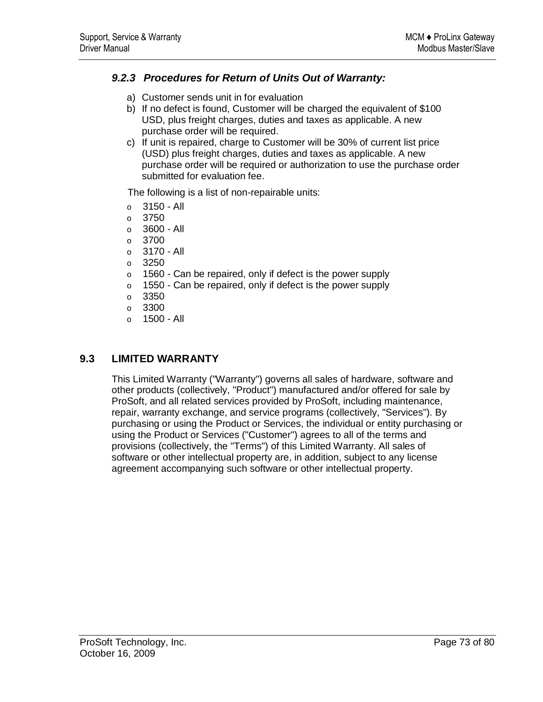# *9.2.3 Procedures for Return of Units Out of Warranty:*

- a) Customer sends unit in for evaluation
- b) If no defect is found, Customer will be charged the equivalent of \$100 USD, plus freight charges, duties and taxes as applicable. A new purchase order will be required.
- c) If unit is repaired, charge to Customer will be 30% of current list price (USD) plus freight charges, duties and taxes as applicable. A new purchase order will be required or authorization to use the purchase order submitted for evaluation fee.

The following is a list of non-repairable units:

- $o$  3150 All
- $\circ$  3750
- o 3600 All
- $\circ$  3700
- $o$  3170 All
- o 3250
- $\circ$  1560 Can be repaired, only if defect is the power supply
- $\circ$  1550 Can be repaired, only if defect is the power supply
- o 3350
- o 3300
- $o$  1500 All

## **9.3 LIMITED WARRANTY**

This Limited Warranty ("Warranty") governs all sales of hardware, software and other products (collectively, "Product") manufactured and/or offered for sale by ProSoft, and all related services provided by ProSoft, including maintenance, repair, warranty exchange, and service programs (collectively, "Services"). By purchasing or using the Product or Services, the individual or entity purchasing or using the Product or Services ("Customer") agrees to all of the terms and provisions (collectively, the "Terms") of this Limited Warranty. All sales of software or other intellectual property are, in addition, subject to any license agreement accompanying such software or other intellectual property.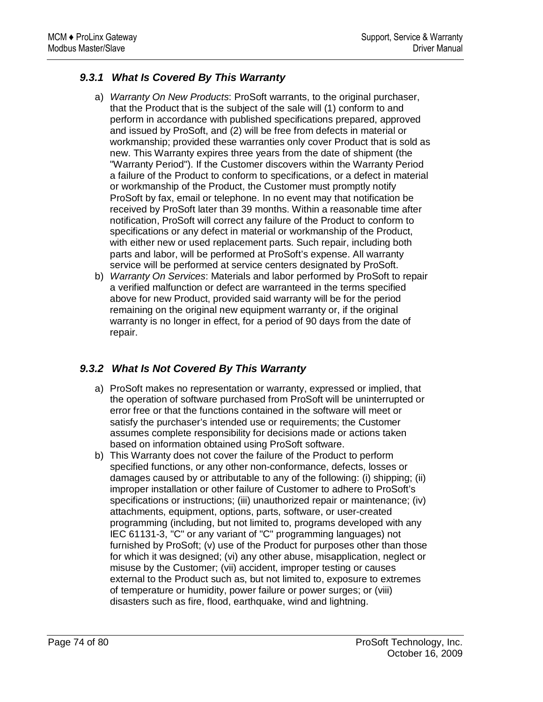# *9.3.1 What Is Covered By This Warranty*

- a) *Warranty On New Products*: ProSoft warrants, to the original purchaser, that the Product that is the subject of the sale will (1) conform to and perform in accordance with published specifications prepared, approved and issued by ProSoft, and (2) will be free from defects in material or workmanship; provided these warranties only cover Product that is sold as new. This Warranty expires three years from the date of shipment (the "Warranty Period"). If the Customer discovers within the Warranty Period a failure of the Product to conform to specifications, or a defect in material or workmanship of the Product, the Customer must promptly notify ProSoft by fax, email or telephone. In no event may that notification be received by ProSoft later than 39 months. Within a reasonable time after notification, ProSoft will correct any failure of the Product to conform to specifications or any defect in material or workmanship of the Product, with either new or used replacement parts. Such repair, including both parts and labor, will be performed at ProSoft's expense. All warranty service will be performed at service centers designated by ProSoft.
- b) *Warranty On Services*: Materials and labor performed by ProSoft to repair a verified malfunction or defect are warranteed in the terms specified above for new Product, provided said warranty will be for the period remaining on the original new equipment warranty or, if the original warranty is no longer in effect, for a period of 90 days from the date of repair.

# *9.3.2 What Is Not Covered By This Warranty*

- a) ProSoft makes no representation or warranty, expressed or implied, that the operation of software purchased from ProSoft will be uninterrupted or error free or that the functions contained in the software will meet or satisfy the purchaser's intended use or requirements; the Customer assumes complete responsibility for decisions made or actions taken based on information obtained using ProSoft software.
- b) This Warranty does not cover the failure of the Product to perform specified functions, or any other non-conformance, defects, losses or damages caused by or attributable to any of the following: (i) shipping; (ii) improper installation or other failure of Customer to adhere to ProSoft's specifications or instructions; (iii) unauthorized repair or maintenance; (iv) attachments, equipment, options, parts, software, or user-created programming (including, but not limited to, programs developed with any IEC 61131-3, "C" or any variant of "C" programming languages) not furnished by ProSoft; (v) use of the Product for purposes other than those for which it was designed; (vi) any other abuse, misapplication, neglect or misuse by the Customer; (vii) accident, improper testing or causes external to the Product such as, but not limited to, exposure to extremes of temperature or humidity, power failure or power surges; or (viii) disasters such as fire, flood, earthquake, wind and lightning.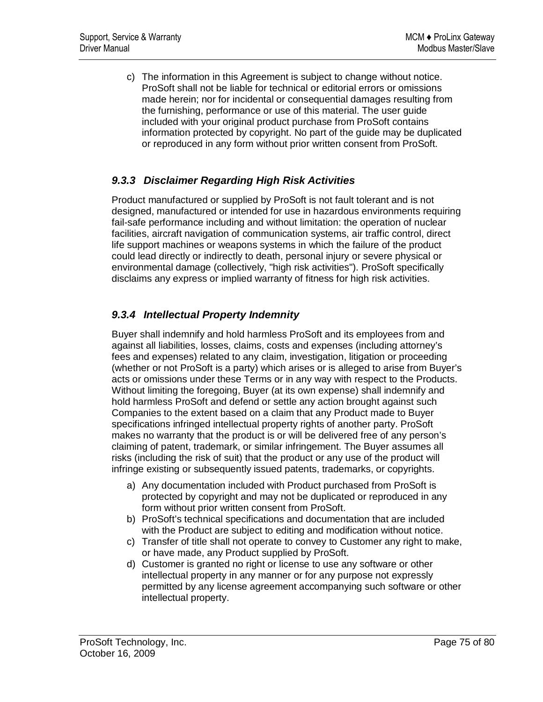c) The information in this Agreement is subject to change without notice. ProSoft shall not be liable for technical or editorial errors or omissions made herein; nor for incidental or consequential damages resulting from the furnishing, performance or use of this material. The user guide included with your original product purchase from ProSoft contains information protected by copyright. No part of the guide may be duplicated or reproduced in any form without prior written consent from ProSoft.

# *9.3.3 Disclaimer Regarding High Risk Activities*

Product manufactured or supplied by ProSoft is not fault tolerant and is not designed, manufactured or intended for use in hazardous environments requiring fail-safe performance including and without limitation: the operation of nuclear facilities, aircraft navigation of communication systems, air traffic control, direct life support machines or weapons systems in which the failure of the product could lead directly or indirectly to death, personal injury or severe physical or environmental damage (collectively, "high risk activities"). ProSoft specifically disclaims any express or implied warranty of fitness for high risk activities.

# *9.3.4 Intellectual Property Indemnity*

Buyer shall indemnify and hold harmless ProSoft and its employees from and against all liabilities, losses, claims, costs and expenses (including attorney's fees and expenses) related to any claim, investigation, litigation or proceeding (whether or not ProSoft is a party) which arises or is alleged to arise from Buyer's acts or omissions under these Terms or in any way with respect to the Products. Without limiting the foregoing, Buyer (at its own expense) shall indemnify and hold harmless ProSoft and defend or settle any action brought against such Companies to the extent based on a claim that any Product made to Buyer specifications infringed intellectual property rights of another party. ProSoft makes no warranty that the product is or will be delivered free of any person's claiming of patent, trademark, or similar infringement. The Buyer assumes all risks (including the risk of suit) that the product or any use of the product will infringe existing or subsequently issued patents, trademarks, or copyrights.

- a) Any documentation included with Product purchased from ProSoft is protected by copyright and may not be duplicated or reproduced in any form without prior written consent from ProSoft.
- b) ProSoft's technical specifications and documentation that are included with the Product are subject to editing and modification without notice.
- c) Transfer of title shall not operate to convey to Customer any right to make, or have made, any Product supplied by ProSoft.
- d) Customer is granted no right or license to use any software or other intellectual property in any manner or for any purpose not expressly permitted by any license agreement accompanying such software or other intellectual property.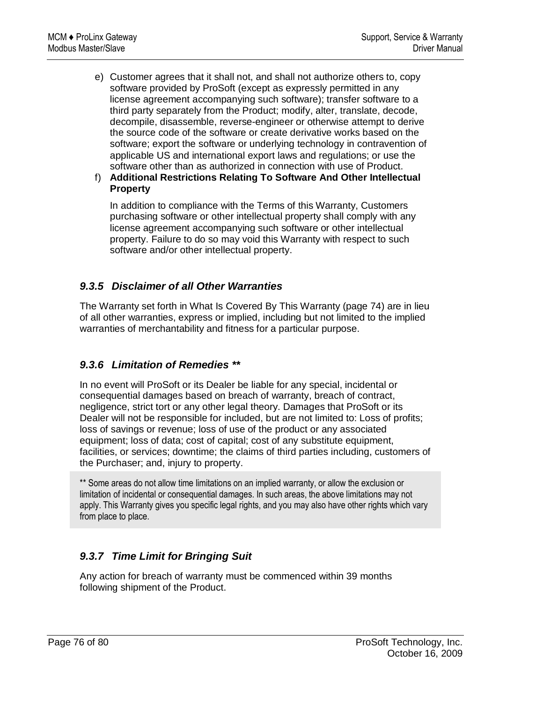- e) Customer agrees that it shall not, and shall not authorize others to, copy software provided by ProSoft (except as expressly permitted in any license agreement accompanying such software); transfer software to a third party separately from the Product; modify, alter, translate, decode, decompile, disassemble, reverse-engineer or otherwise attempt to derive the source code of the software or create derivative works based on the software; export the software or underlying technology in contravention of applicable US and international export laws and regulations; or use the software other than as authorized in connection with use of Product.
- f) **Additional Restrictions Relating To Software And Other Intellectual Property**

In addition to compliance with the Terms of this Warranty, Customers purchasing software or other intellectual property shall comply with any license agreement accompanying such software or other intellectual property. Failure to do so may void this Warranty with respect to such software and/or other intellectual property.

# *9.3.5 Disclaimer of all Other Warranties*

The Warranty set forth in What Is Covered By This Warranty (page 74) are in lieu of all other warranties, express or implied, including but not limited to the implied warranties of merchantability and fitness for a particular purpose.

# *9.3.6 Limitation of Remedies \*\**

In no event will ProSoft or its Dealer be liable for any special, incidental or consequential damages based on breach of warranty, breach of contract, negligence, strict tort or any other legal theory. Damages that ProSoft or its Dealer will not be responsible for included, but are not limited to: Loss of profits; loss of savings or revenue; loss of use of the product or any associated equipment; loss of data; cost of capital; cost of any substitute equipment, facilities, or services; downtime; the claims of third parties including, customers of the Purchaser; and, injury to property.

\*\* Some areas do not allow time limitations on an implied warranty, or allow the exclusion or limitation of incidental or consequential damages. In such areas, the above limitations may not apply. This Warranty gives you specific legal rights, and you may also have other rights which vary from place to place.

# *9.3.7 Time Limit for Bringing Suit*

Any action for breach of warranty must be commenced within 39 months following shipment of the Product.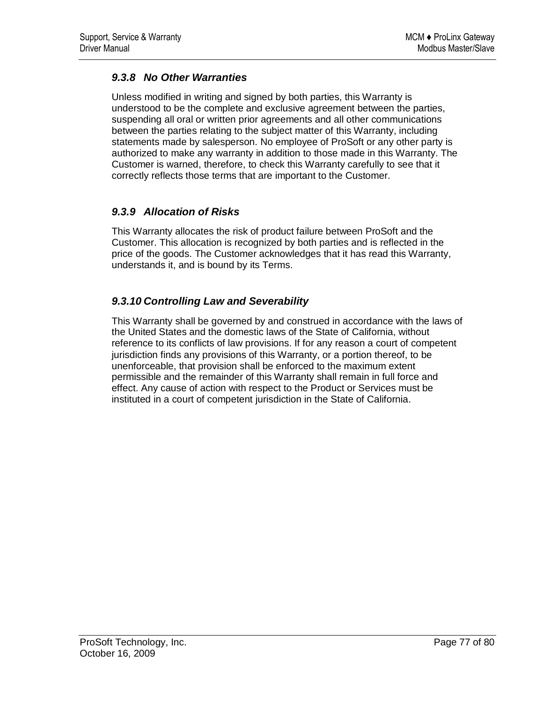# *9.3.8 No Other Warranties*

Unless modified in writing and signed by both parties, this Warranty is understood to be the complete and exclusive agreement between the parties, suspending all oral or written prior agreements and all other communications between the parties relating to the subject matter of this Warranty, including statements made by salesperson. No employee of ProSoft or any other party is authorized to make any warranty in addition to those made in this Warranty. The Customer is warned, therefore, to check this Warranty carefully to see that it correctly reflects those terms that are important to the Customer.

# *9.3.9 Allocation of Risks*

This Warranty allocates the risk of product failure between ProSoft and the Customer. This allocation is recognized by both parties and is reflected in the price of the goods. The Customer acknowledges that it has read this Warranty, understands it, and is bound by its Terms.

# *9.3.10 Controlling Law and Severability*

This Warranty shall be governed by and construed in accordance with the laws of the United States and the domestic laws of the State of California, without reference to its conflicts of law provisions. If for any reason a court of competent jurisdiction finds any provisions of this Warranty, or a portion thereof, to be unenforceable, that provision shall be enforced to the maximum extent permissible and the remainder of this Warranty shall remain in full force and effect. Any cause of action with respect to the Product or Services must be instituted in a court of competent jurisdiction in the State of California.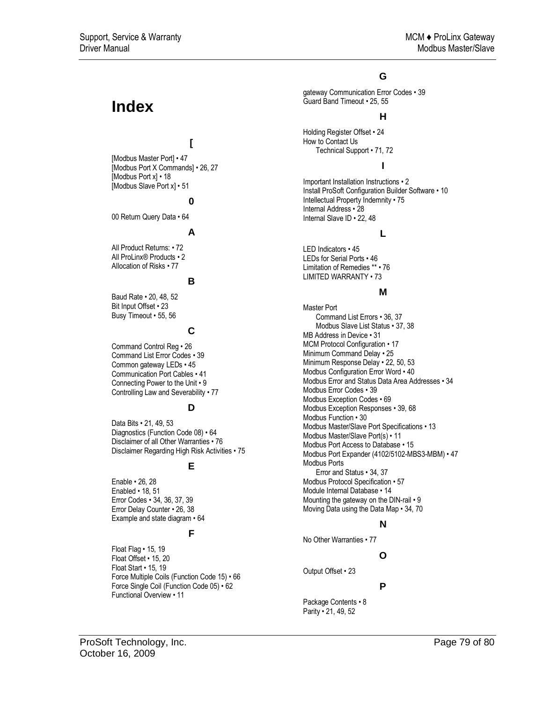# **Index**

## **[**

[Modbus Master Port] • 47 [Modbus Port X Commands] • 26, 27 [Modbus Port x] • 18 [Modbus Slave Port x] • 51

#### **0**

00 Return Query Data • 64

#### **A**

All Product Returns: • 72 All ProLinx® Products • 2 Allocation of Risks • 77

#### **B**

Baud Rate • 20, 48, 52 Bit Input Offset • 23 Busy Timeout • 55, 56

#### **C**

Command Control Reg • 26 Command List Error Codes • 39 Common gateway LEDs • 45 Communication Port Cables • 41 Connecting Power to the Unit • 9 Controlling Law and Severability • 77

#### **D**

Data Bits • 21, 49, 53 Diagnostics (Function Code 08) • 64 Disclaimer of all Other Warranties • 76 Disclaimer Regarding High Risk Activities • 75

#### **E**

Enable • 26, 28 Enabled • 18, 51 Error Codes • 34, 36, 37, 39 Error Delay Counter • 26, 38 Example and state diagram • 64

#### **F**

Float Flag • 15, 19 Float Offset • 15, 20 Float Start • 15, 19 Force Multiple Coils (Function Code 15) • 66 Force Single Coil (Function Code 05) • 62 Functional Overview • 11

#### **G**

gateway Communication Error Codes • 39 Guard Band Timeout • 25, 55

#### **H**

Holding Register Offset • 24 How to Contact Us Technical Support • 71, 72

## **I**

Important Installation Instructions • 2 Install ProSoft Configuration Builder Software • 10 Intellectual Property Indemnity • 75 Internal Address • 28 Internal Slave ID • 22, 48

#### **L**

LED Indicators • 45 LEDs for Serial Ports • 46 Limitation of Remedies \*\* • 76 LIMITED WARRANTY • 73

#### **M**

Master Port Command List Errors • 36, 37 Modbus Slave List Status • 37, 38 MB Address in Device • 31 MCM Protocol Configuration • 17 Minimum Command Delay • 25 Minimum Response Delay • 22, 50, 53 Modbus Configuration Error Word • 40 Modbus Error and Status Data Area Addresses • 34 Modbus Error Codes • 39 Modbus Exception Codes • 69 Modbus Exception Responses • 39, 68 Modbus Function • 30 Modbus Master/Slave Port Specifications • 13 Modbus Master/Slave Port(s) • 11 Modbus Port Access to Database • 15 Modbus Port Expander (4102/5102-MBS3-MBM) • 47 Modbus Ports Error and Status • 34, 37 Modbus Protocol Specification • 57 Module Internal Database • 14 Mounting the gateway on the DIN-rail • 9 Moving Data using the Data Map • 34, 70

#### **N**

No Other Warranties • 77

#### **O**

Output Offset • 23

#### **P**

Package Contents • 8 Parity • 21, 49, 52